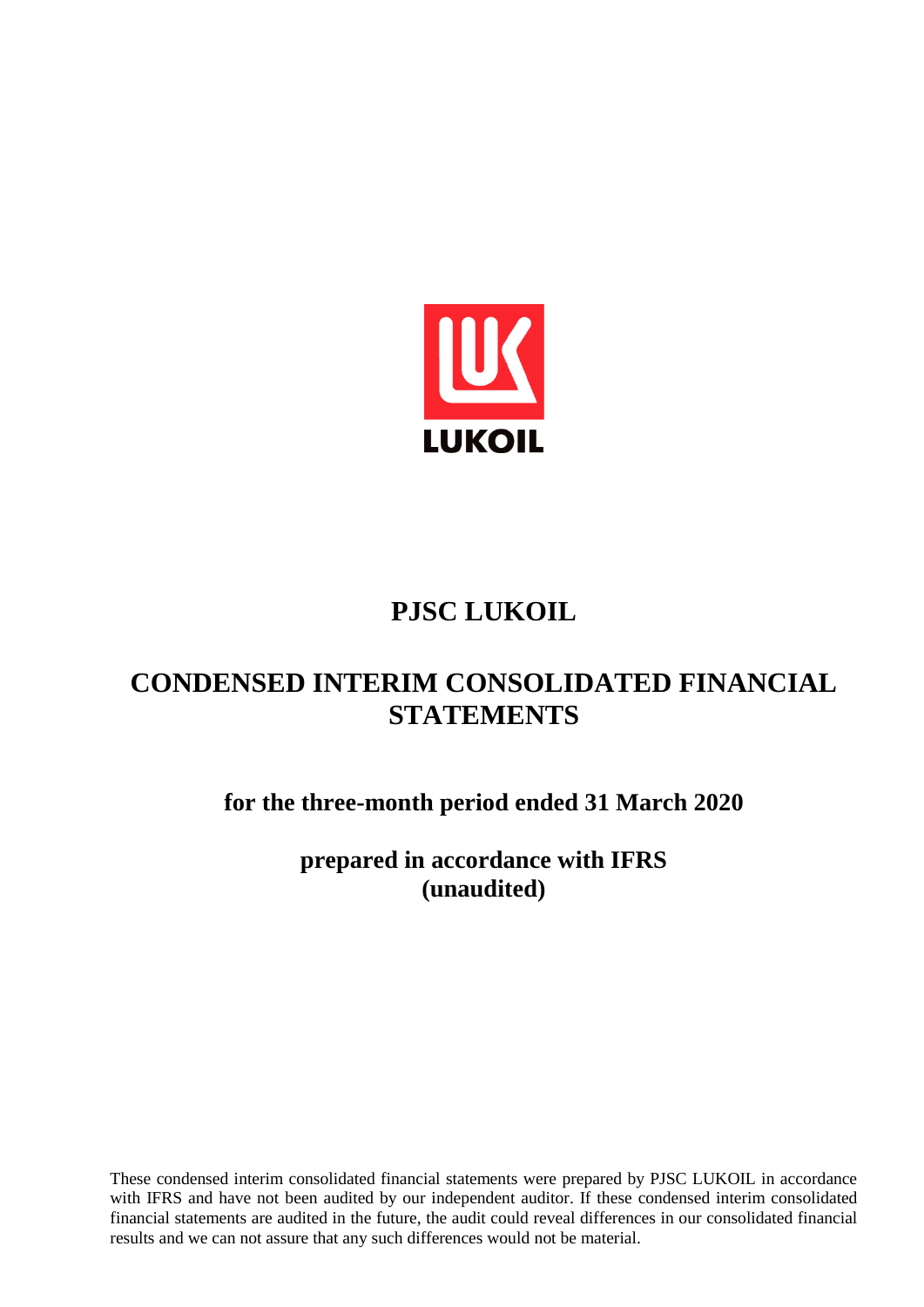

# **PJSC LUKOIL**

# **CONDENSED INTERIM CONSOLIDATED FINANCIAL STATEMENTS**

**for the three-month period ended 31 March 2020**

**prepared in accordance with IFRS (unaudited)**

These condensed interim consolidated financial statements were prepared by PJSC LUKOIL in accordance with IFRS and have not been audited by our independent auditor. If these condensed interim consolidated financial statements are audited in the future, the audit could reveal differences in our consolidated financial results and we can not assure that any such differences would not be material.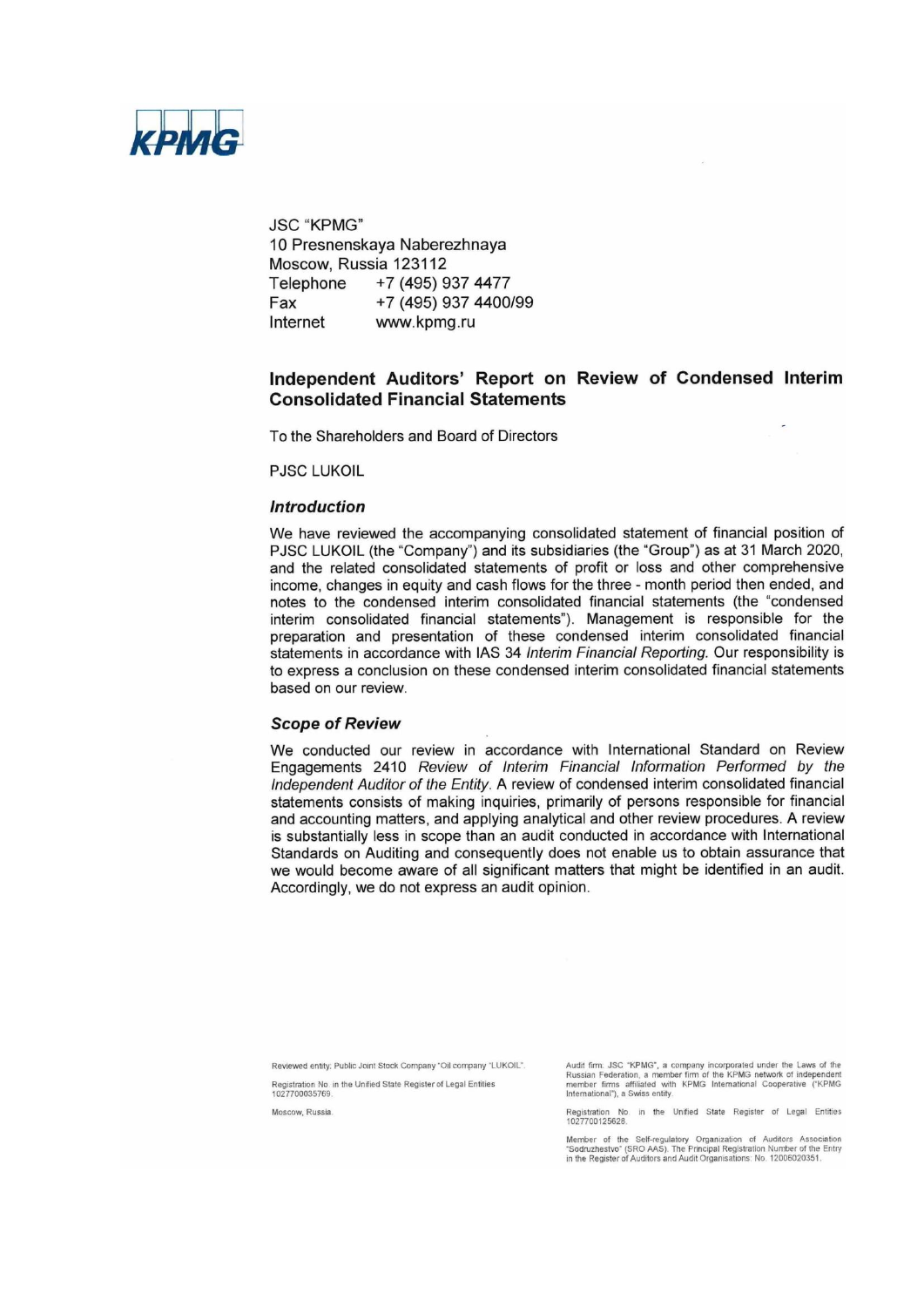

**JSC "KPMG"** 10 Presnenskaya Naberezhnaya Moscow, Russia 123112 +7 (495) 937 4477 Telephone +7 (495) 937 4400/99 Fax www.kpmg.ru Internet

# Independent Auditors' Report on Review of Condensed Interim **Consolidated Financial Statements**

To the Shareholders and Board of Directors

**PJSC LUKOIL** 

### **Introduction**

We have reviewed the accompanying consolidated statement of financial position of PJSC LUKOIL (the "Company") and its subsidiaries (the "Group") as at 31 March 2020, and the related consolidated statements of profit or loss and other comprehensive income, changes in equity and cash flows for the three - month period then ended, and notes to the condensed interim consolidated financial statements (the "condensed interim consolidated financial statements"). Management is responsible for the preparation and presentation of these condensed interim consolidated financial statements in accordance with IAS 34 Interim Financial Reporting. Our responsibility is to express a conclusion on these condensed interim consolidated financial statements based on our review.

#### **Scope of Review**

We conducted our review in accordance with International Standard on Review Engagements 2410 Review of Interim Financial Information Performed by the Independent Auditor of the Entity. A review of condensed interim consolidated financial statements consists of making inquiries, primarily of persons responsible for financial and accounting matters, and applying analytical and other review procedures. A review is substantially less in scope than an audit conducted in accordance with International Standards on Auditing and consequently does not enable us to obtain assurance that we would become aware of all significant matters that might be identified in an audit. Accordingly, we do not express an audit opinion.

Reviewed entity: Public Joint Stock Company "Oil company "LUKOIL".

Registration No. in the Unified State Register of Legal Entities<br>1027700035769.

Moscow, Russia

Audit firm: JSC "KPMG", a company incorporated under the Laws of the Russian Federation, a member firm of the KPMG network of independent member firms affiliated with KPMG International Cooperative ("KPMG International"),

Registration No. in the Unified State Register of Legal Entities<br>1027700125628.

Member of the Self-regulatory Organization of Auditors Association<br>"Sodruzhestvo" (SRO AAS). The Principal Registration Number of the Entry<br>in the Register of Auditors and Audit Organisations: No. 12006020351.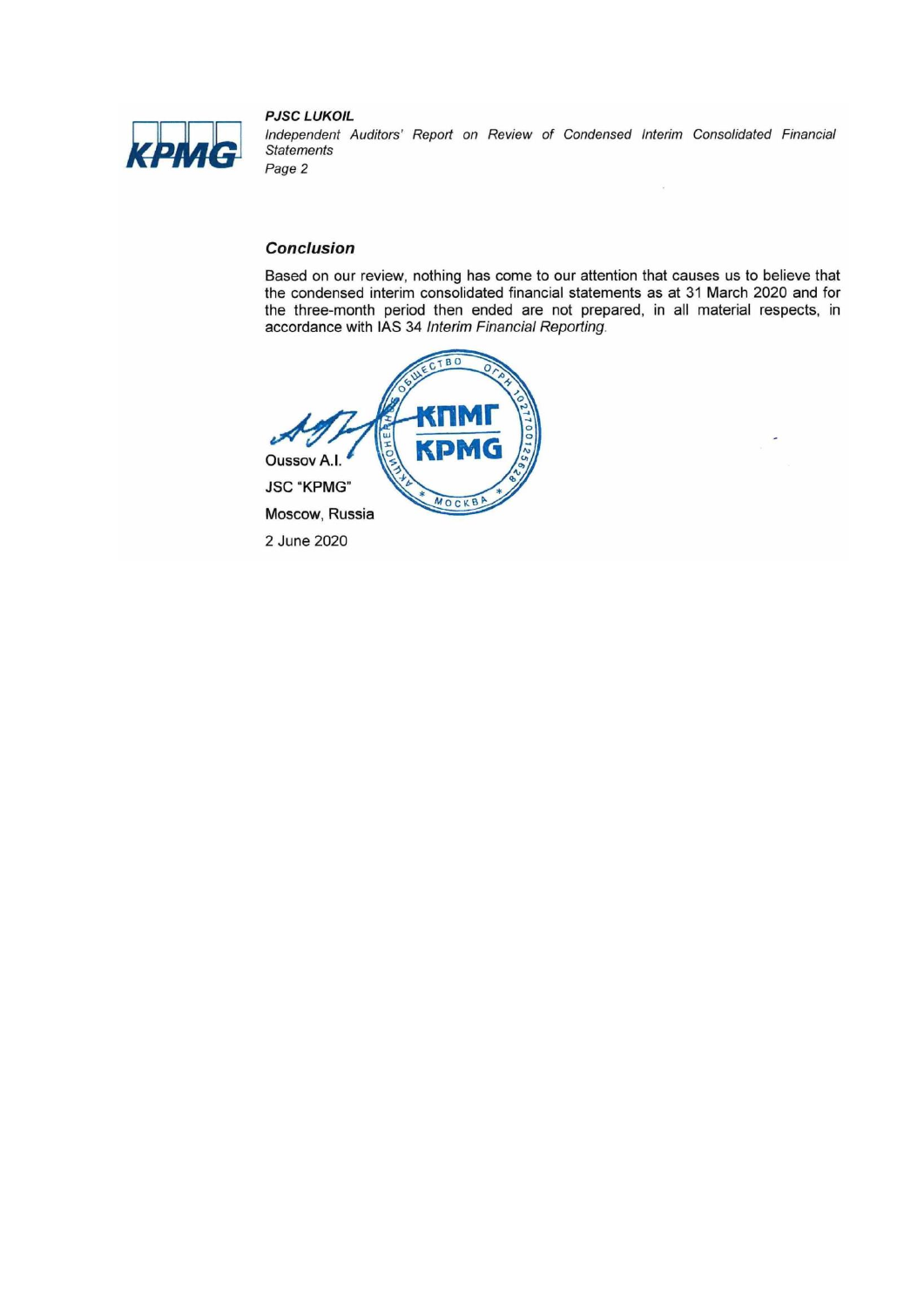

**PJSC LUKOIL** Independent Auditors' Report on Review of Condensed Interim Consolidated Financial **Statements** Page 2

 $\widetilde{\mathbf{x}}$ 

# **Conclusion**

Based on our review, nothing has come to our attention that causes us to believe that the condensed interim consolidated financial statements as at 31 March 2020 and for the three-month period then ended are not prepared, in all material respects, in accordance with IAS 34 Interim Financial Reporting.



2 June 2020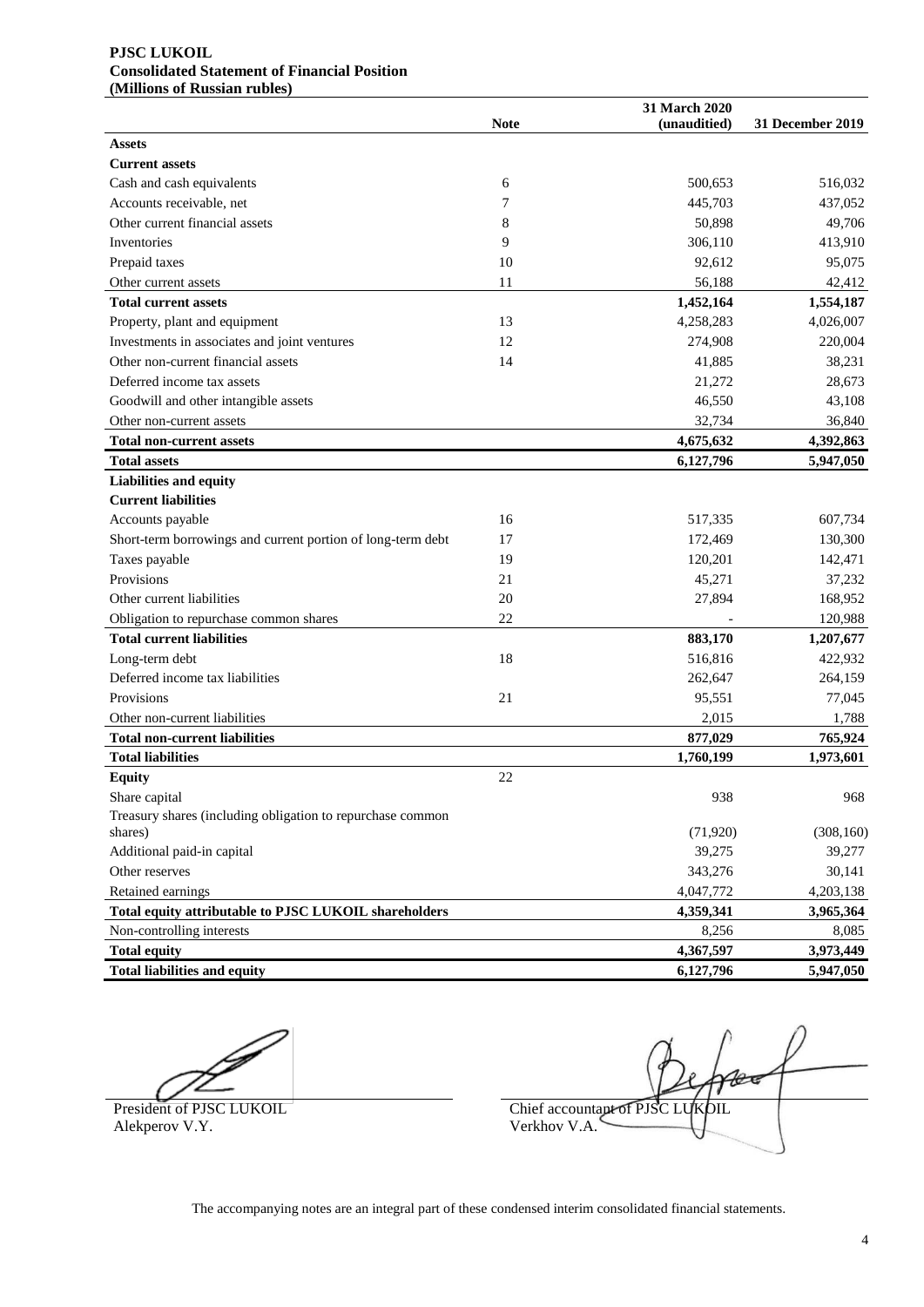#### **PJSC LUKOIL Consolidated Statement of Financial Position (Millions of Russian rubles)**

|                                                             | <b>Note</b> | 31 March 2020<br>(unauditied) | 31 December 2019 |
|-------------------------------------------------------------|-------------|-------------------------------|------------------|
| <b>Assets</b>                                               |             |                               |                  |
| <b>Current assets</b>                                       |             |                               |                  |
| Cash and cash equivalents                                   | 6           | 500.653                       | 516,032          |
| Accounts receivable, net                                    | 7           | 445,703                       | 437,052          |
| Other current financial assets                              | 8           | 50,898                        | 49,706           |
| Inventories                                                 | 9           | 306,110                       | 413,910          |
| Prepaid taxes                                               | 10          | 92,612                        | 95,075           |
| Other current assets                                        | 11          | 56,188                        | 42,412           |
| <b>Total current assets</b>                                 |             | 1,452,164                     | 1,554,187        |
| Property, plant and equipment                               | 13          | 4,258,283                     | 4,026,007        |
| Investments in associates and joint ventures                | 12          | 274,908                       | 220,004          |
| Other non-current financial assets                          | 14          | 41,885                        | 38,231           |
| Deferred income tax assets                                  |             | 21,272                        | 28,673           |
| Goodwill and other intangible assets                        |             | 46,550                        | 43,108           |
| Other non-current assets                                    |             | 32,734                        | 36,840           |
| <b>Total non-current assets</b>                             |             | 4,675,632                     | 4,392,863        |
| <b>Total assets</b>                                         |             | 6,127,796                     | 5,947,050        |
| <b>Liabilities and equity</b>                               |             |                               |                  |
| <b>Current liabilities</b>                                  |             |                               |                  |
| Accounts payable                                            | 16          | 517,335                       | 607,734          |
| Short-term borrowings and current portion of long-term debt | 17          | 172,469                       | 130,300          |
| Taxes payable                                               | 19          | 120,201                       | 142,471          |
| Provisions                                                  | 21          | 45,271                        | 37,232           |
| Other current liabilities                                   | 20          | 27,894                        | 168,952          |
| Obligation to repurchase common shares                      | 22          |                               | 120,988          |
| <b>Total current liabilities</b>                            |             | 883,170                       | 1,207,677        |
| Long-term debt                                              | 18          | 516,816                       | 422,932          |
| Deferred income tax liabilities                             |             | 262,647                       | 264,159          |
| Provisions                                                  | 21          | 95,551                        | 77,045           |
| Other non-current liabilities                               |             | 2,015                         | 1,788            |
| <b>Total non-current liabilities</b>                        |             | 877,029                       | 765,924          |
| <b>Total liabilities</b>                                    |             | 1,760,199                     | 1,973,601        |
| <b>Equity</b>                                               | 22          |                               |                  |
| Share capital                                               |             | 938                           | 968              |
| Treasury shares (including obligation to repurchase common  |             |                               |                  |
| shares)                                                     |             | (71, 920)                     | (308, 160)       |
| Additional paid-in capital                                  |             | 39,275                        | 39,277           |
| Other reserves                                              |             | 343,276                       | 30,141           |
| Retained earnings                                           |             | 4,047,772                     | 4,203,138        |
| Total equity attributable to PJSC LUKOIL shareholders       |             | 4,359,341                     | 3,965,364        |
| Non-controlling interests                                   |             | 8,256                         | 8,085            |
| <b>Total equity</b>                                         |             | 4,367,597                     | 3,973,449        |
| <b>Total liabilities and equity</b>                         |             | 6,127,796                     | 5,947,050        |

Alekperov V.Y.

 $\mathscr{C}$ President of PJSC LUKOIL Chief accountant of PJSC LUKOIL Alekperov V.Y.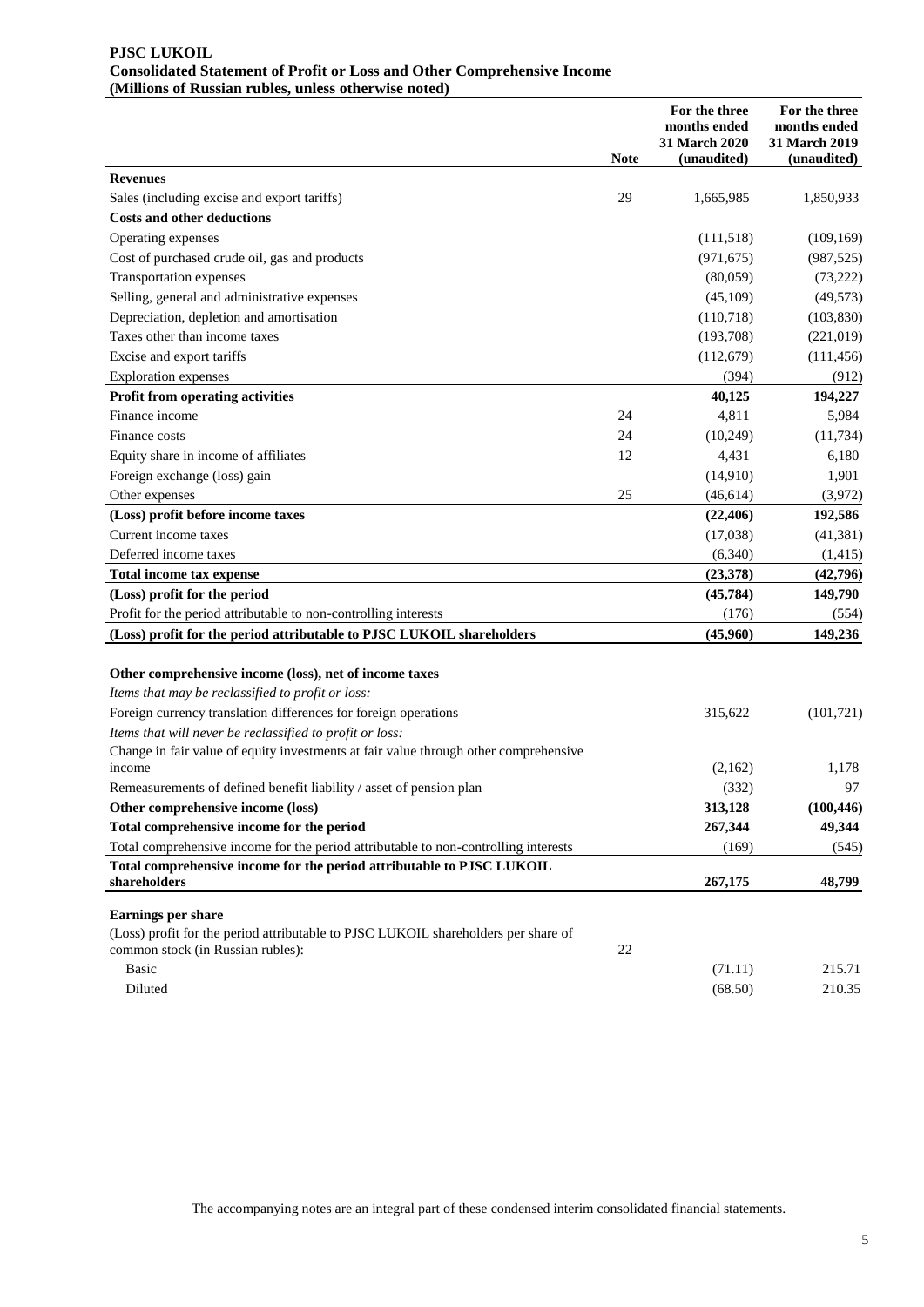### **PJSC LUKOIL Consolidated Statement of Profit or Loss and Other Comprehensive Income (Millions of Russian rubles, unless otherwise noted)**

|                                                                                                                                                      | <b>Note</b> | For the three<br>months ended<br>31 March 2020<br>(unaudited) | For the three<br>months ended<br>31 March 2019<br>(unaudited) |
|------------------------------------------------------------------------------------------------------------------------------------------------------|-------------|---------------------------------------------------------------|---------------------------------------------------------------|
| <b>Revenues</b>                                                                                                                                      |             |                                                               |                                                               |
| Sales (including excise and export tariffs)                                                                                                          | 29          | 1,665,985                                                     | 1,850,933                                                     |
| <b>Costs and other deductions</b>                                                                                                                    |             |                                                               |                                                               |
| Operating expenses                                                                                                                                   |             | (111,518)                                                     | (109, 169)                                                    |
| Cost of purchased crude oil, gas and products                                                                                                        |             | (971, 675)                                                    | (987, 525)                                                    |
| Transportation expenses                                                                                                                              |             | (80,059)                                                      | (73, 222)                                                     |
| Selling, general and administrative expenses                                                                                                         |             | (45,109)                                                      | (49, 573)                                                     |
| Depreciation, depletion and amortisation                                                                                                             |             | (110,718)                                                     | (103, 830)                                                    |
| Taxes other than income taxes                                                                                                                        |             | (193,708)                                                     | (221, 019)                                                    |
| Excise and export tariffs                                                                                                                            |             | (112,679)                                                     | (111, 456)                                                    |
| <b>Exploration</b> expenses                                                                                                                          |             | (394)                                                         | (912)                                                         |
| Profit from operating activities                                                                                                                     |             | 40,125                                                        | 194,227                                                       |
| Finance income                                                                                                                                       | 24          | 4,811                                                         | 5,984                                                         |
| Finance costs                                                                                                                                        | 24          | (10, 249)                                                     | (11, 734)                                                     |
| Equity share in income of affiliates                                                                                                                 | 12          | 4,431                                                         | 6,180                                                         |
| Foreign exchange (loss) gain                                                                                                                         |             | (14,910)                                                      | 1,901                                                         |
| Other expenses                                                                                                                                       | 25          | (46, 614)                                                     | (3,972)                                                       |
| (Loss) profit before income taxes                                                                                                                    |             | (22, 406)                                                     | 192,586                                                       |
| Current income taxes                                                                                                                                 |             | (17,038)                                                      | (41,381)                                                      |
| Deferred income taxes                                                                                                                                |             | (6,340)                                                       | (1,415)                                                       |
| Total income tax expense                                                                                                                             |             | (23, 378)                                                     | (42,796)                                                      |
| (Loss) profit for the period                                                                                                                         |             | (45, 784)                                                     | 149,790                                                       |
| Profit for the period attributable to non-controlling interests                                                                                      |             | (176)                                                         | (554)                                                         |
| (Loss) profit for the period attributable to PJSC LUKOIL shareholders                                                                                |             | (45,960)                                                      | 149,236                                                       |
| Other comprehensive income (loss), net of income taxes<br>Items that may be reclassified to profit or loss:                                          |             |                                                               |                                                               |
| Foreign currency translation differences for foreign operations                                                                                      |             | 315,622                                                       | (101, 721)                                                    |
| Items that will never be reclassified to profit or loss:                                                                                             |             |                                                               |                                                               |
| Change in fair value of equity investments at fair value through other comprehensive<br>income                                                       |             | (2,162)                                                       | 1,178                                                         |
| Remeasurements of defined benefit liability / asset of pension plan                                                                                  |             | (332)                                                         | 97                                                            |
| Other comprehensive income (loss)                                                                                                                    |             | 313,128                                                       | (100, 446)                                                    |
| Total comprehensive income for the period                                                                                                            |             | 267,344                                                       | 49,344                                                        |
| Total comprehensive income for the period attributable to non-controlling interests                                                                  |             | (169)                                                         | (545)                                                         |
| Total comprehensive income for the period attributable to PJSC LUKOIL<br>shareholders                                                                |             | 267,175                                                       | 48,799                                                        |
| <b>Earnings per share</b><br>(Loss) profit for the period attributable to PJSC LUKOIL shareholders per share of<br>common stock (in Russian rubles): | 22          |                                                               |                                                               |
| <b>Basic</b>                                                                                                                                         |             | (71.11)                                                       | 215.71                                                        |
| Diluted                                                                                                                                              |             | (68.50)                                                       | 210.35                                                        |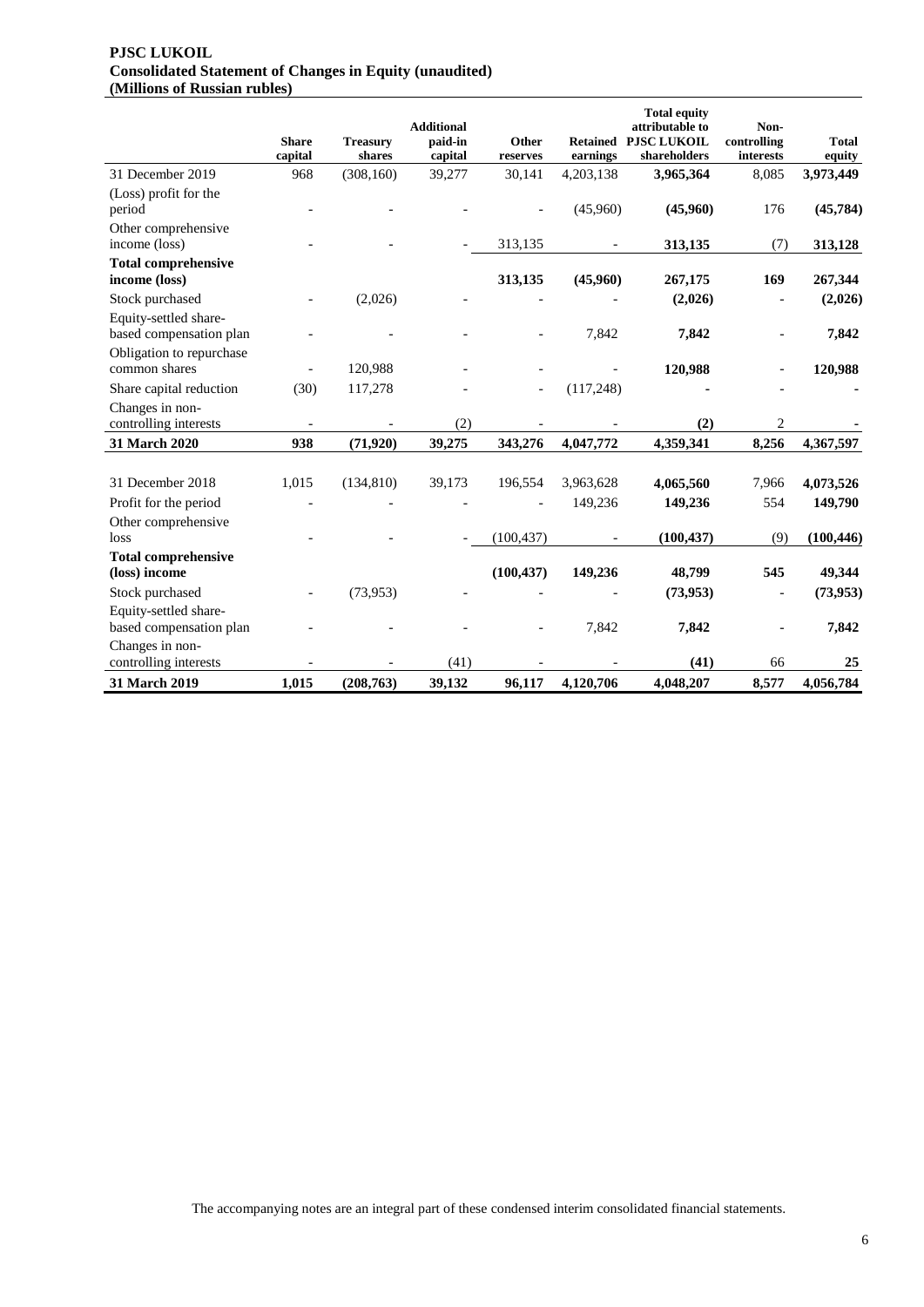### **PJSC LUKOIL Consolidated Statement of Changes in Equity (unaudited) (Millions of Russian rubles)**

|                                                     | <b>Share</b><br>capital  | <b>Treasury</b><br>shares | <b>Additional</b><br>paid-in<br>capital | Other<br>reserves        | earnings   | <b>Total equity</b><br>attributable to<br><b>Retained PJSC LUKOIL</b><br>shareholders | Non-<br>controlling<br>interests | <b>Total</b><br>equity |
|-----------------------------------------------------|--------------------------|---------------------------|-----------------------------------------|--------------------------|------------|---------------------------------------------------------------------------------------|----------------------------------|------------------------|
| 31 December 2019                                    | 968                      | (308, 160)                | 39,277                                  | 30,141                   | 4,203,138  | 3,965,364                                                                             | 8,085                            | 3,973,449              |
| (Loss) profit for the<br>period                     |                          |                           |                                         |                          | (45,960)   | (45,960)                                                                              | 176                              | (45, 784)              |
| Other comprehensive<br>income (loss)                |                          |                           |                                         | 313,135                  |            | 313,135                                                                               | (7)                              | 313,128                |
| <b>Total comprehensive</b><br>income (loss)         |                          |                           |                                         | 313,135                  | (45,960)   | 267,175                                                                               | 169                              | 267,344                |
| Stock purchased<br>Equity-settled share-            |                          | (2,026)                   |                                         |                          |            | (2,026)                                                                               |                                  | (2,026)                |
| based compensation plan<br>Obligation to repurchase |                          |                           |                                         |                          | 7,842      | 7,842                                                                                 |                                  | 7,842                  |
| common shares                                       |                          | 120,988                   |                                         |                          |            | 120,988                                                                               |                                  | 120,988                |
| Share capital reduction                             | (30)                     | 117,278                   |                                         | $\overline{\phantom{a}}$ | (117, 248) |                                                                                       |                                  |                        |
| Changes in non-<br>controlling interests            | $\overline{\phantom{a}}$ |                           | (2)                                     |                          |            | (2)                                                                                   | $\overline{2}$                   |                        |
| 31 March 2020                                       | 938                      | (71, 920)                 | 39,275                                  | 343,276                  | 4,047,772  | 4,359,341                                                                             | 8,256                            | 4,367,597              |
| 31 December 2018                                    | 1,015                    | (134, 810)                | 39,173                                  | 196,554                  | 3,963,628  | 4,065,560                                                                             | 7,966                            | 4,073,526              |
| Profit for the period                               |                          |                           |                                         |                          | 149,236    | 149,236                                                                               | 554                              | 149,790                |
| Other comprehensive<br>loss                         |                          |                           |                                         | (100, 437)               |            | (100, 437)                                                                            | (9)                              | (100, 446)             |
| <b>Total comprehensive</b><br>(loss) income         |                          |                           |                                         | (100, 437)               | 149,236    | 48,799                                                                                | 545                              | 49,344                 |
| Stock purchased                                     |                          | (73, 953)                 |                                         |                          |            | (73, 953)                                                                             |                                  | (73, 953)              |
| Equity-settled share-<br>based compensation plan    |                          |                           |                                         |                          | 7,842      | 7,842                                                                                 |                                  | 7,842                  |
| Changes in non-<br>controlling interests            |                          |                           | (41)                                    |                          |            | (41)                                                                                  | 66                               | 25                     |
| 31 March 2019                                       | 1,015                    | (208, 763)                | 39,132                                  | 96,117                   | 4,120,706  | 4,048,207                                                                             | 8,577                            | 4,056,784              |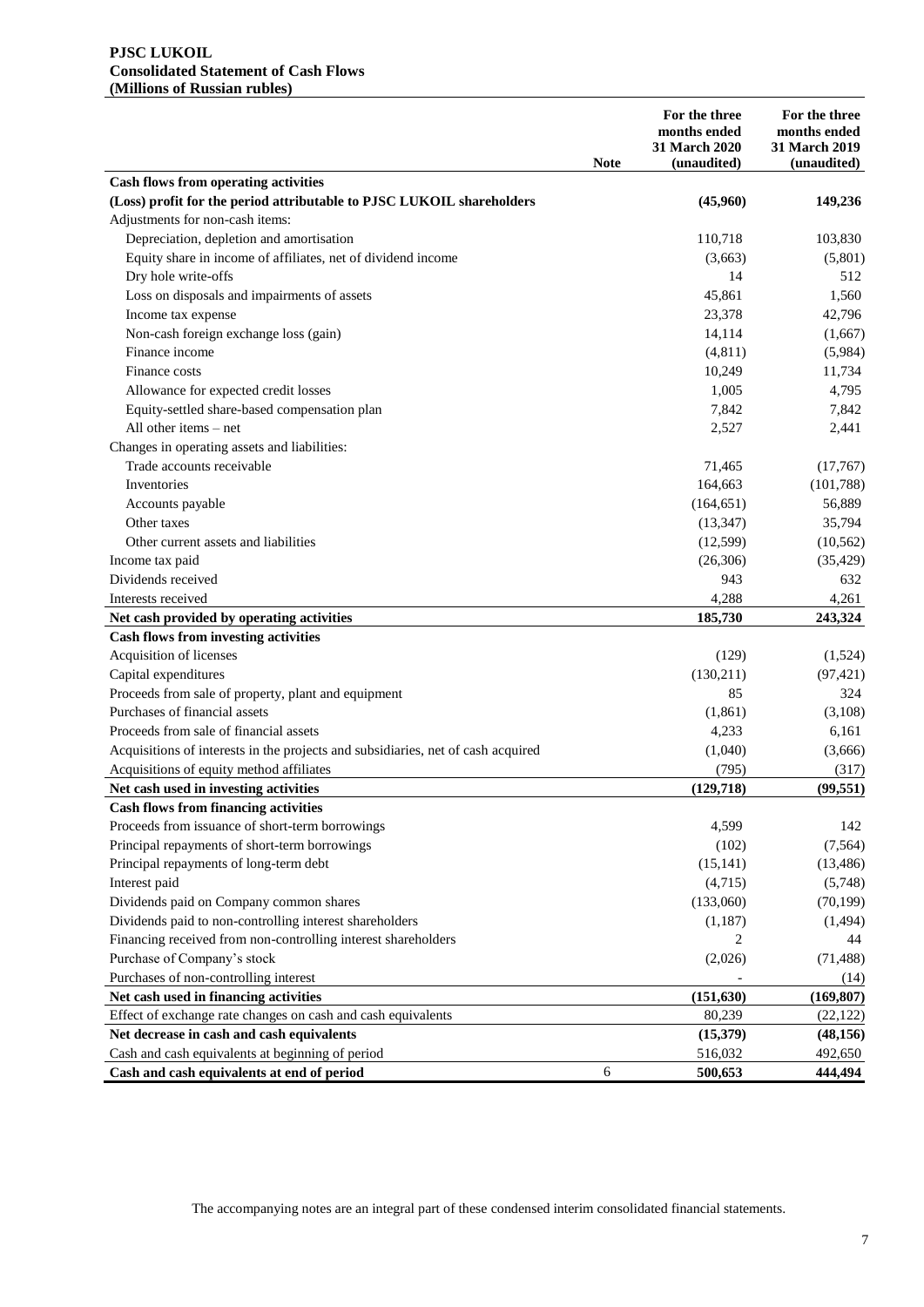### **PJSC LUKOIL Consolidated Statement of Cash Flows (Millions of Russian rubles)**

|                                                                                                           | <b>Note</b> | For the three<br>months ended<br>31 March 2020<br>(unaudited) | For the three<br>months ended<br>31 March 2019<br>(unaudited) |
|-----------------------------------------------------------------------------------------------------------|-------------|---------------------------------------------------------------|---------------------------------------------------------------|
| <b>Cash flows from operating activities</b>                                                               |             |                                                               |                                                               |
| (Loss) profit for the period attributable to PJSC LUKOIL shareholders                                     |             | (45,960)                                                      | 149,236                                                       |
| Adjustments for non-cash items:                                                                           |             |                                                               |                                                               |
| Depreciation, depletion and amortisation                                                                  |             | 110,718                                                       | 103,830                                                       |
| Equity share in income of affiliates, net of dividend income                                              |             | (3,663)                                                       | (5,801)                                                       |
| Dry hole write-offs                                                                                       |             | 14                                                            | 512                                                           |
| Loss on disposals and impairments of assets                                                               |             | 45,861                                                        | 1,560                                                         |
| Income tax expense                                                                                        |             | 23,378                                                        | 42,796                                                        |
| Non-cash foreign exchange loss (gain)                                                                     |             | 14,114                                                        | (1,667)                                                       |
| Finance income                                                                                            |             | (4,811)                                                       | (5,984)                                                       |
| Finance costs                                                                                             |             | 10,249                                                        | 11,734                                                        |
| Allowance for expected credit losses                                                                      |             | 1,005                                                         | 4,795                                                         |
| Equity-settled share-based compensation plan                                                              |             | 7,842                                                         | 7,842                                                         |
| All other items - net                                                                                     |             | 2,527                                                         | 2,441                                                         |
| Changes in operating assets and liabilities:                                                              |             |                                                               |                                                               |
| Trade accounts receivable                                                                                 |             | 71,465                                                        | (17,767)                                                      |
| Inventories                                                                                               |             | 164,663                                                       | (101, 788)                                                    |
| Accounts payable                                                                                          |             | (164, 651)                                                    | 56,889                                                        |
| Other taxes                                                                                               |             | (13, 347)                                                     | 35,794                                                        |
| Other current assets and liabilities                                                                      |             | (12,599)                                                      | (10, 562)                                                     |
| Income tax paid                                                                                           |             | (26,306)                                                      | (35, 429)                                                     |
| Dividends received                                                                                        |             | 943                                                           | 632                                                           |
| Interests received                                                                                        |             | 4,288                                                         | 4,261                                                         |
| Net cash provided by operating activities                                                                 |             | 185,730                                                       | 243,324                                                       |
| <b>Cash flows from investing activities</b>                                                               |             |                                                               |                                                               |
| Acquisition of licenses                                                                                   |             | (129)                                                         | (1,524)                                                       |
| Capital expenditures                                                                                      |             | (130,211)                                                     | (97, 421)                                                     |
| Proceeds from sale of property, plant and equipment                                                       |             | 85                                                            | 324                                                           |
| Purchases of financial assets                                                                             |             | (1,861)                                                       | (3,108)                                                       |
| Proceeds from sale of financial assets                                                                    |             | 4,233                                                         | 6,161                                                         |
| Acquisitions of interests in the projects and subsidiaries, net of cash acquired                          |             | (1,040)                                                       | (3,666)                                                       |
| Acquisitions of equity method affiliates                                                                  |             | (795)                                                         | (317)                                                         |
| Net cash used in investing activities                                                                     |             | (129, 718)                                                    | (99, 551)                                                     |
| <b>Cash flows from financing activities</b>                                                               |             |                                                               |                                                               |
| Proceeds from issuance of short-term borrowings                                                           |             | 4,599                                                         | 142                                                           |
| Principal repayments of short-term borrowings                                                             |             | (102)                                                         | (7, 564)                                                      |
| Principal repayments of long-term debt                                                                    |             | (15, 141)                                                     | (13, 486)                                                     |
| Interest paid                                                                                             |             | (4,715)                                                       | (5,748)                                                       |
| Dividends paid on Company common shares                                                                   |             | (133,060)                                                     | (70, 199)                                                     |
| Dividends paid to non-controlling interest shareholders                                                   |             | (1,187)                                                       | (1,494)                                                       |
| Financing received from non-controlling interest shareholders                                             |             | 2                                                             | 44                                                            |
| Purchase of Company's stock                                                                               |             | (2,026)                                                       | (71, 488)                                                     |
|                                                                                                           |             |                                                               |                                                               |
| Purchases of non-controlling interest                                                                     |             |                                                               | (14)                                                          |
| Net cash used in financing activities                                                                     |             | (151, 630)<br>80,239                                          | (169, 807)                                                    |
| Effect of exchange rate changes on cash and cash equivalents<br>Net decrease in cash and cash equivalents |             |                                                               | (22, 122)                                                     |
| Cash and cash equivalents at beginning of period                                                          |             | (15,379)<br>516,032                                           | (48, 156)<br>492,650                                          |
| Cash and cash equivalents at end of period                                                                | 6           | 500,653                                                       | 444,494                                                       |
|                                                                                                           |             |                                                               |                                                               |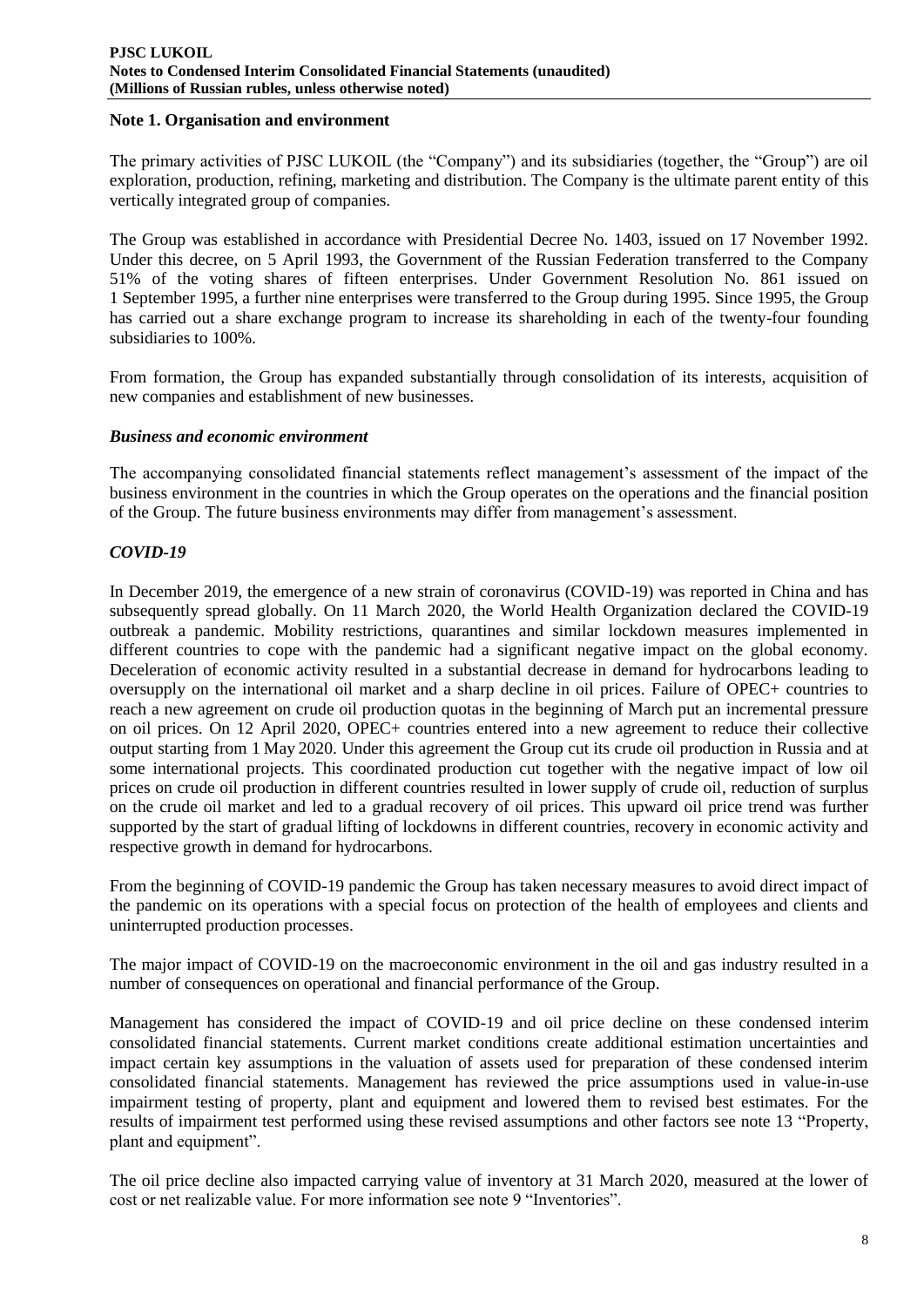### **Note 1. Organisation and environment**

The primary activities of PJSC LUKOIL (the "Company") and its subsidiaries (together, the "Group") are oil exploration, production, refining, marketing and distribution. The Company is the ultimate parent entity of this vertically integrated group of companies.

The Group was established in accordance with Presidential Decree No. 1403, issued on 17 November 1992. Under this decree, on 5 April 1993, the Government of the Russian Federation transferred to the Company 51% of the voting shares of fifteen enterprises. Under Government Resolution No. 861 issued on 1 September 1995, a further nine enterprises were transferred to the Group during 1995. Since 1995, the Group has carried out a share exchange program to increase its shareholding in each of the twenty-four founding subsidiaries to 100%.

From formation, the Group has expanded substantially through consolidation of its interests, acquisition of new companies and establishment of new businesses.

### *Business and economic environment*

The accompanying consolidated financial statements reflect management's assessment of the impact of the business environment in the countries in which the Group operates on the operations and the financial position of the Group. The future business environments may differ from management's assessment.

# *COVID-19*

In December 2019, the emergence of a new strain of coronavirus (COVID-19) was reported in China and has subsequently spread globally. On 11 March 2020, the World Health Organization declared the COVID-19 outbreak a pandemic. Mobility restrictions, quarantines and similar lockdown measures implemented in different countries to cope with the pandemic had a significant negative impact on the global economy. Deceleration of economic activity resulted in a substantial decrease in demand for hydrocarbons leading to oversupply on the international oil market and a sharp decline in oil prices. Failure of OPEC+ countries to reach a new agreement on crude oil production quotas in the beginning of March put an incremental pressure on oil prices. On 12 April 2020, OPEC+ countries entered into a new agreement to reduce their collective output starting from 1 May 2020. Under this agreement the Group cut its crude oil production in Russia and at some international projects. This coordinated production cut together with the negative impact of low oil prices on crude oil production in different countries resulted in lower supply of crude oil, reduction of surplus on the crude oil market and led to a gradual recovery of oil prices. This upward oil price trend was further supported by the start of gradual lifting of lockdowns in different countries, recovery in economic activity and respective growth in demand for hydrocarbons.

From the beginning of COVID-19 pandemic the Group has taken necessary measures to avoid direct impact of the pandemic on its operations with a special focus on protection of the health of employees and clients and uninterrupted production processes.

The major impact of COVID-19 on the macroeconomic environment in the oil and gas industry resulted in a number of consequences on operational and financial performance of the Group.

Management has considered the impact of COVID-19 and oil price decline on these condensed interim consolidated financial statements. Current market conditions create additional estimation uncertainties and impact certain key assumptions in the valuation of assets used for preparation of these condensed interim consolidated financial statements. Management has reviewed the price assumptions used in value-in-use impairment testing of property, plant and equipment and lowered them to revised best estimates. For the results of impairment test performed using these revised assumptions and other factors see note 13 "Property, plant and equipment".

The oil price decline also impacted carrying value of inventory at 31 March 2020, measured at the lower of cost or net realizable value. For more information see note 9 "Inventories".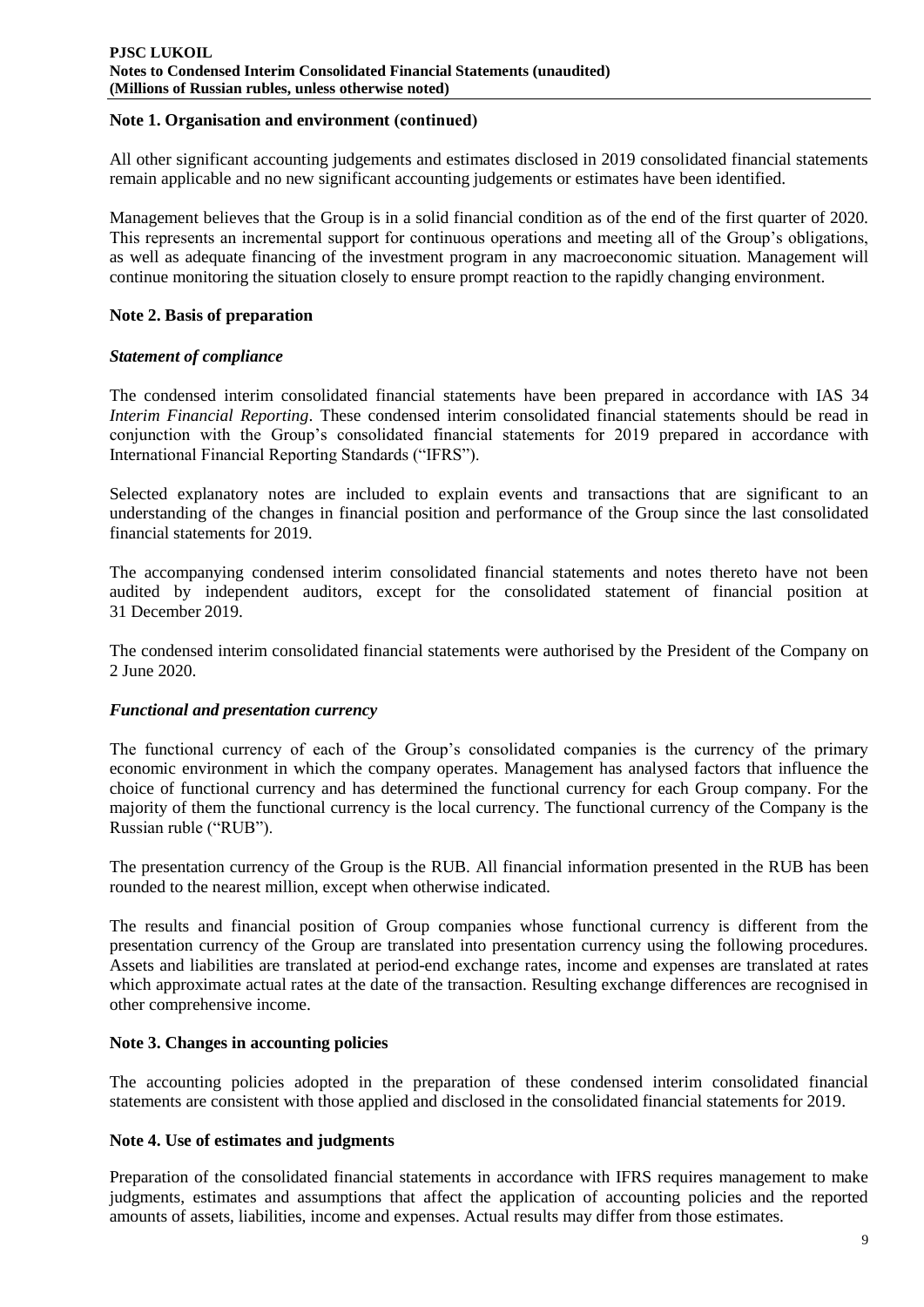### **Note 1. Organisation and environment (сontinued)**

All other significant accounting judgements and estimates disclosed in 2019 consolidated financial statements remain applicable and no new significant accounting judgements or estimates have been identified.

Management believes that the Group is in a solid financial condition as of the end of the first quarter of 2020. This represents an incremental support for continuous operations and meeting all of the Group's obligations, as well as adequate financing of the investment program in any macroeconomic situation. Management will continue monitoring the situation closely to ensure prompt reaction to the rapidly changing environment.

# **Note 2. Basis of preparation**

# *Statement of compliance*

The condensed interim consolidated financial statements have been prepared in accordance with IAS 34 *Interim Financial Reporting*. These condensed interim consolidated financial statements should be read in conjunction with the Group's consolidated financial statements for 2019 prepared in accordance with International Financial Reporting Standards ("IFRS").

Selected explanatory notes are included to explain events and transactions that are significant to an understanding of the changes in financial position and performance of the Group since the last consolidated financial statements for 2019.

The accompanying condensed interim consolidated financial statements and notes thereto have not been audited by independent auditors, except for the consolidated statement of financial position at 31 December 2019.

The condensed interim consolidated financial statements were authorised by the President of the Company on 2 June 2020.

### *Functional and presentation currency*

The functional currency of each of the Group's consolidated companies is the currency of the primary economic environment in which the company operates. Management has analysed factors that influence the choice of functional currency and has determined the functional currency for each Group company. For the majority of them the functional currency is the local currency. The functional currency of the Company is the Russian ruble ("RUB").

The presentation currency of the Group is the RUB. All financial information presented in the RUB has been rounded to the nearest million, except when otherwise indicated.

The results and financial position of Group companies whose functional currency is different from the presentation currency of the Group are translated into presentation currency using the following procedures. Assets and liabilities are translated at period-end exchange rates, income and expenses are translated at rates which approximate actual rates at the date of the transaction. Resulting exchange differences are recognised in other comprehensive income.

### **Note 3. Changes in accounting policies**

The accounting policies adopted in the preparation of these condensed interim consolidated financial statements are consistent with those applied and disclosed in the consolidated financial statements for 2019.

### **Note 4. Use of estimates and judgments**

Preparation of the consolidated financial statements in accordance with IFRS requires management to make judgments, estimates and assumptions that affect the application of accounting policies and the reported amounts of assets, liabilities, income and expenses. Actual results may differ from those estimates.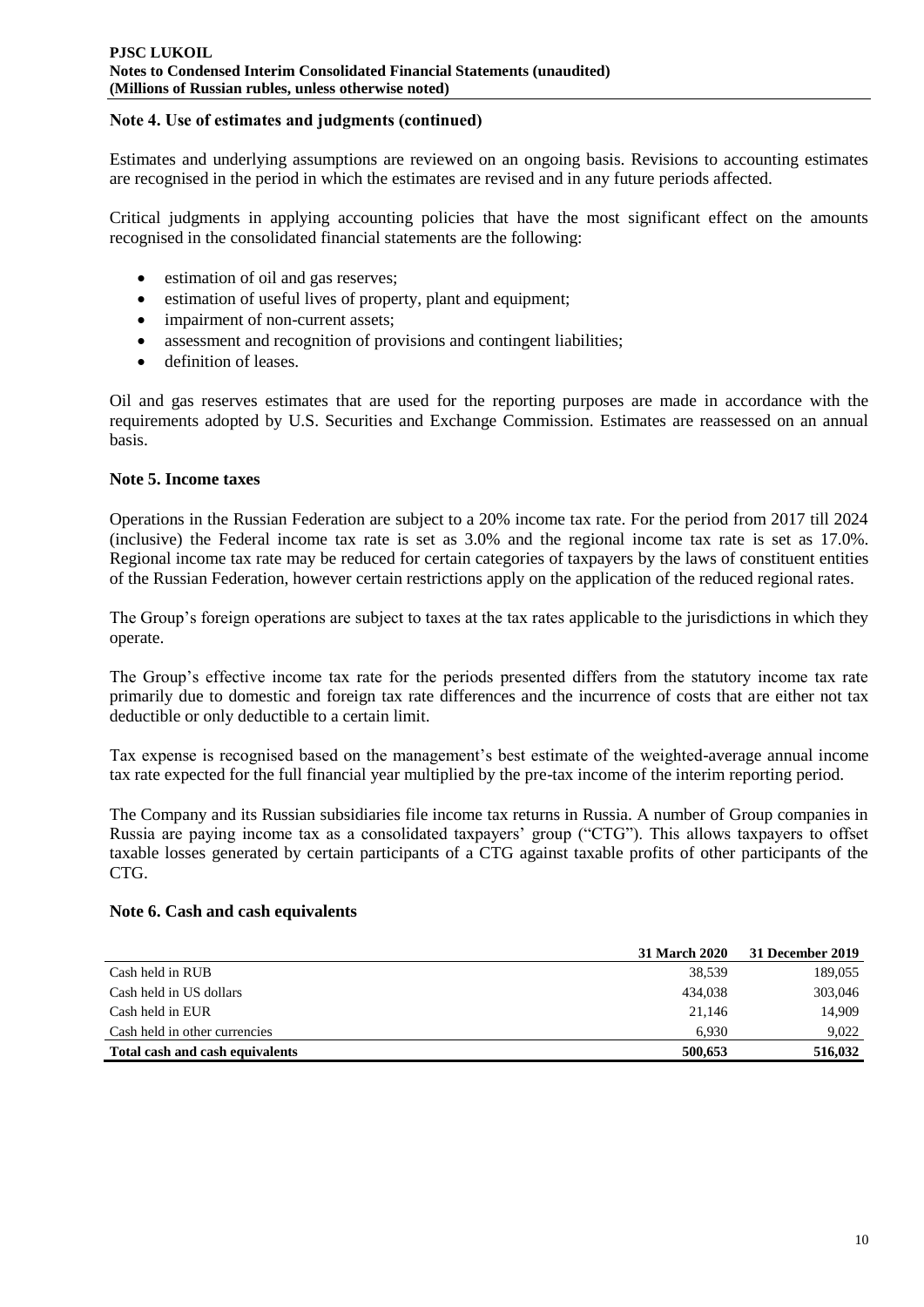# **Note 4. Use of estimates and judgments (сontinued)**

Estimates and underlying assumptions are reviewed on an ongoing basis. Revisions to accounting estimates are recognised in the period in which the estimates are revised and in any future periods affected.

Critical judgments in applying accounting policies that have the most significant effect on the amounts recognised in the consolidated financial statements are the following:

- estimation of oil and gas reserves;
- estimation of useful lives of property, plant and equipment;
- impairment of non-current assets;
- assessment and recognition of provisions and contingent liabilities;
- definition of leases.

Oil and gas reserves estimates that are used for the reporting purposes are made in accordance with the requirements adopted by U.S. Securities and Exchange Commission. Estimates are reassessed on an annual basis.

# **Note 5. Income taxes**

Operations in the Russian Federation are subject to a 20% income tax rate. For the period from 2017 till 2024 (inclusive) the Federal income tax rate is set as 3.0% and the regional income tax rate is set as 17.0%. Regional income tax rate may be reduced for certain categories of taxpayers by the laws of constituent entities of the Russian Federation, however certain restrictions apply on the application of the reduced regional rates.

The Group's foreign operations are subject to taxes at the tax rates applicable to the jurisdictions in which they operate.

The Group's effective income tax rate for the periods presented differs from the statutory income tax rate primarily due to domestic and foreign tax rate differences and the incurrence of costs that are either not tax deductible or only deductible to a certain limit.

Tax expense is recognised based on the management's best estimate of the weighted-average annual income tax rate expected for the full financial year multiplied by the pre-tax income of the interim reporting period.

The Company and its Russian subsidiaries file income tax returns in Russia. A number of Group companies in Russia are paying income tax as a consolidated taxpayers' group ("CTG"). This allows taxpayers to offset taxable losses generated by certain participants of a CTG against taxable profits of other participants of the CTG.

### **Note 6. Cash and cash equivalents**

|                                 | <b>31 March 2020</b> | 31 December 2019 |
|---------------------------------|----------------------|------------------|
| Cash held in RUB                | 38.539               | 189,055          |
| Cash held in US dollars         | 434.038              | 303,046          |
| Cash held in EUR                | 21.146               | 14.909           |
| Cash held in other currencies   | 6.930                | 9,022            |
| Total cash and cash equivalents | 500.653              | 516,032          |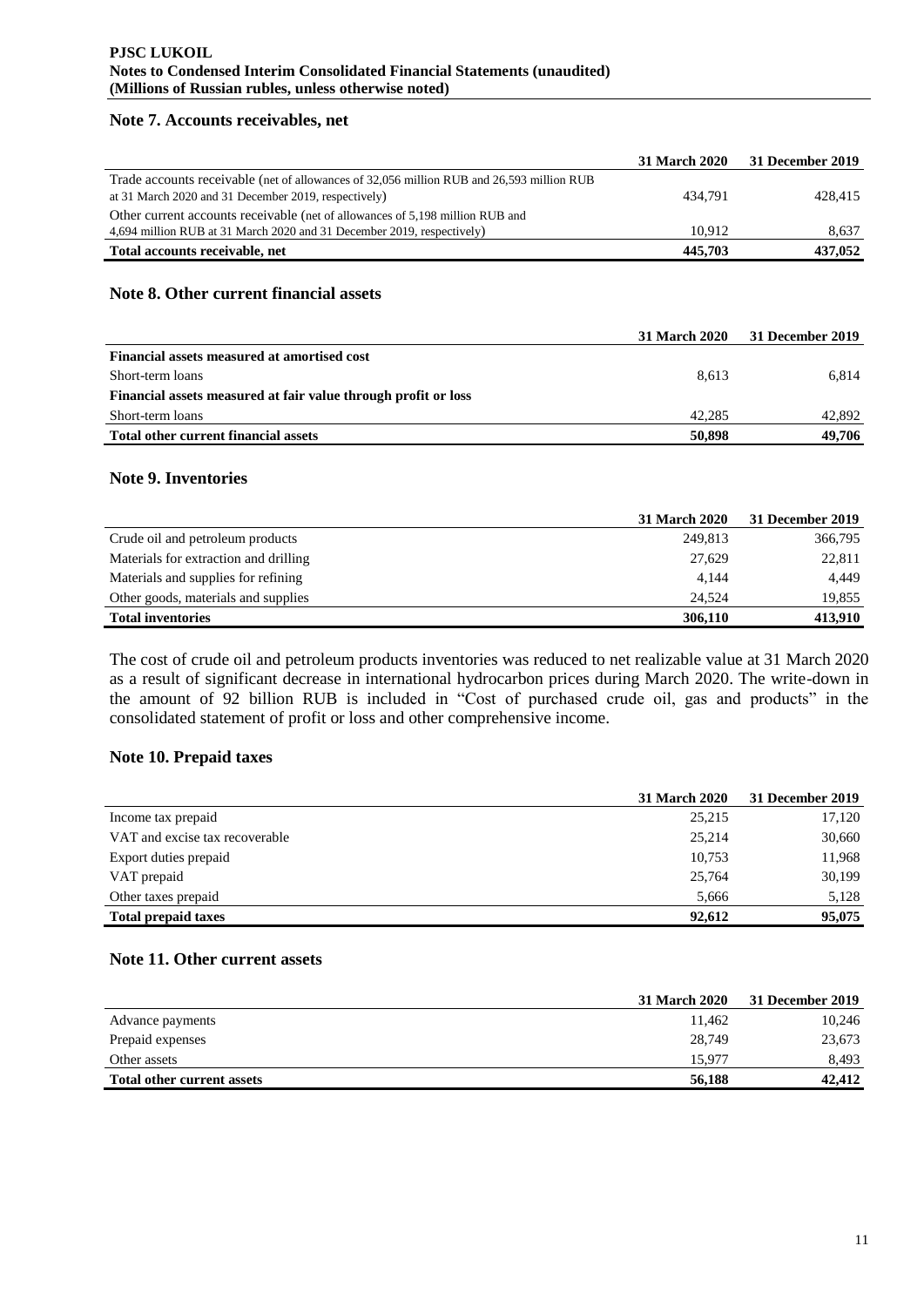### **Note 7. Accounts receivables, net**

|                                                                                           | <b>31 March 2020</b> | 31 December 2019 |
|-------------------------------------------------------------------------------------------|----------------------|------------------|
| Trade accounts receivable (net of allowances of 32,056 million RUB and 26,593 million RUB |                      |                  |
| at 31 March 2020 and 31 December 2019, respectively)                                      | 434.791              | 428.415          |
| Other current accounts receivable (net of allowances of 5,198 million RUB and             |                      |                  |
| 4,694 million RUB at 31 March 2020 and 31 December 2019, respectively)                    | 10.912               | 8.637            |
| Total accounts receivable, net                                                            | 445.703              | 437.052          |

### **Note 8. Other current financial assets**

|                                                                | 31 March 2020 | 31 December 2019 |
|----------------------------------------------------------------|---------------|------------------|
| Financial assets measured at amortised cost                    |               |                  |
| Short-term loans                                               | 8.613         | 6.814            |
| Financial assets measured at fair value through profit or loss |               |                  |
| Short-term loans                                               | 42,285        | 42,892           |
| Total other current financial assets                           | 50,898        | 49.706           |

# **Note 9. Inventories**

|                                       | <b>31 March 2020</b> | 31 December 2019 |
|---------------------------------------|----------------------|------------------|
| Crude oil and petroleum products      | 249.813              | 366,795          |
| Materials for extraction and drilling | 27.629               | 22,811           |
| Materials and supplies for refining   | 4.144                | 4,449            |
| Other goods, materials and supplies   | 24.524               | 19,855           |
| <b>Total inventories</b>              | 306,110              | 413.910          |

The cost of crude oil and petroleum products inventories was reduced to net realizable value at 31 March 2020 as a result of significant decrease in international hydrocarbon prices during March 2020. The write-down in the amount of 92 billion RUB is included in "Cost of purchased crude oil, gas and products" in the consolidated statement of profit or loss and other comprehensive income.

# **Note 10. Prepaid taxes**

|                                | <b>31 March 2020</b> | 31 December 2019 |
|--------------------------------|----------------------|------------------|
| Income tax prepaid             | 25,215               | 17,120           |
| VAT and excise tax recoverable | 25,214               | 30,660           |
| Export duties prepaid          | 10,753               | 11,968           |
| VAT prepaid                    | 25,764               | 30,199           |
| Other taxes prepaid            | 5.666                | 5,128            |
| <b>Total prepaid taxes</b>     | 92,612               | 95,075           |

# **Note 11. Other current assets**

|                                   | <b>31 March 2020</b> | 31 December 2019 |
|-----------------------------------|----------------------|------------------|
| Advance payments                  | 11.462               | 10,246           |
| Prepaid expenses                  | 28,749               | 23,673           |
| Other assets                      | 15.977               | 8,493            |
| <b>Total other current assets</b> | 56,188               | 42,412           |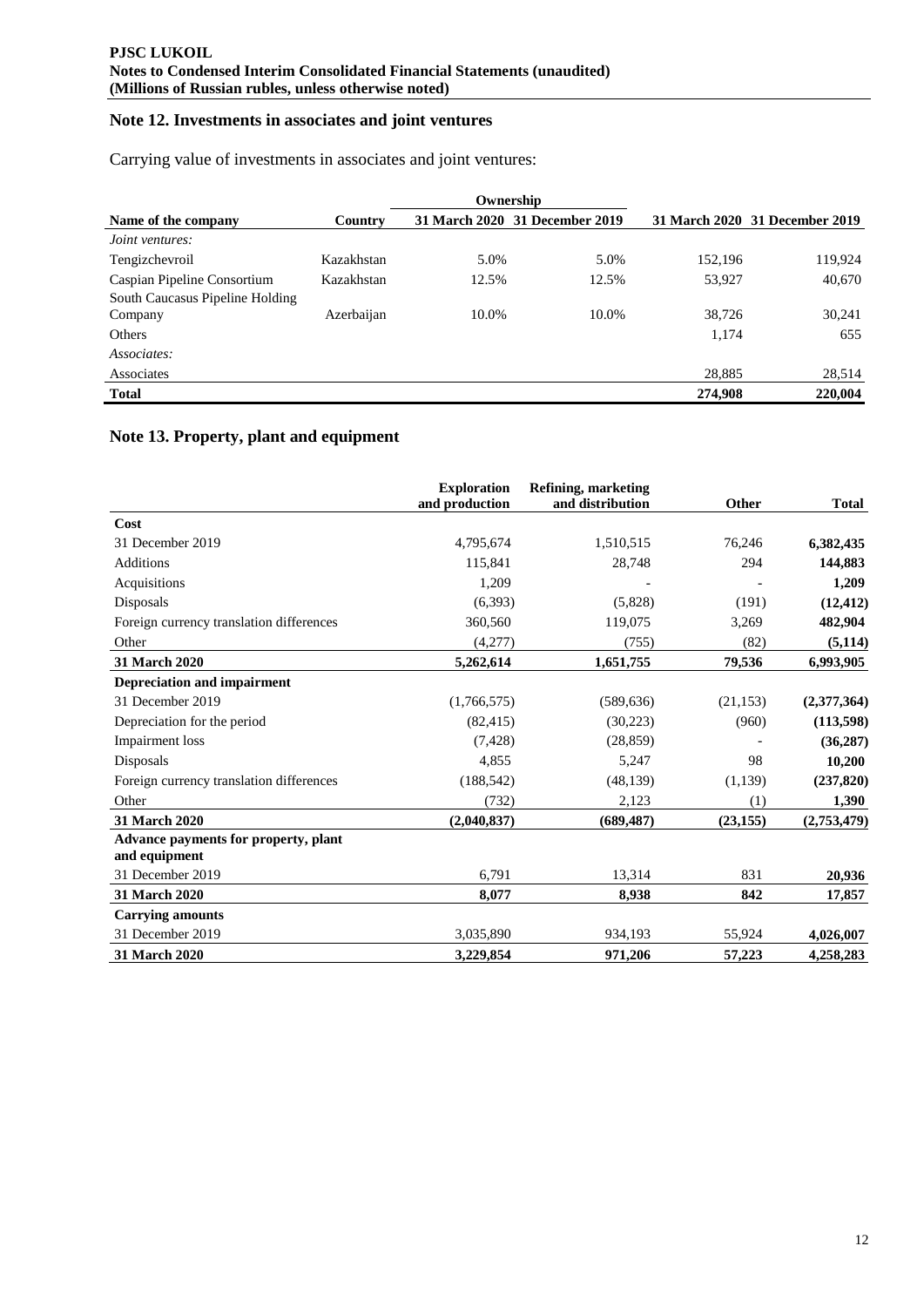# **Note 12. Investments in associates and joint ventures**

Carrying value of investments in associates and joint ventures:

|                                            |            |       | Ownership                      |         |                                |
|--------------------------------------------|------------|-------|--------------------------------|---------|--------------------------------|
| Name of the company                        | Country    |       | 31 March 2020 31 December 2019 |         | 31 March 2020 31 December 2019 |
| <i>Joint ventures:</i>                     |            |       |                                |         |                                |
| Tengizchevroil                             | Kazakhstan | 5.0%  | 5.0%                           | 152,196 | 119,924                        |
| Caspian Pipeline Consortium                | Kazakhstan | 12.5% | 12.5%                          | 53,927  | 40,670                         |
| South Caucasus Pipeline Holding<br>Company | Azerbaijan | 10.0% | 10.0%                          | 38,726  | 30,241                         |
| Others                                     |            |       |                                | 1.174   | 655                            |
| Associates:                                |            |       |                                |         |                                |
| Associates                                 |            |       |                                | 28,885  | 28,514                         |
| <b>Total</b>                               |            |       |                                | 274,908 | 220,004                        |

# **Note 13. Property, plant and equipment**

|                                                       | <b>Exploration</b><br>and production | Refining, marketing<br>and distribution | Other     | <b>Total</b> |
|-------------------------------------------------------|--------------------------------------|-----------------------------------------|-----------|--------------|
| Cost                                                  |                                      |                                         |           |              |
| 31 December 2019                                      | 4,795,674                            | 1,510,515                               | 76,246    | 6,382,435    |
| <b>Additions</b>                                      | 115,841                              | 28,748                                  | 294       | 144,883      |
| Acquisitions                                          | 1,209                                |                                         |           | 1,209        |
| Disposals                                             | (6,393)                              | (5,828)                                 | (191)     | (12, 412)    |
| Foreign currency translation differences              | 360,560                              | 119,075                                 | 3,269     | 482,904      |
| Other                                                 | (4,277)                              | (755)                                   | (82)      | (5, 114)     |
| 31 March 2020                                         | 5,262,614                            | 1,651,755                               | 79,536    | 6,993,905    |
| <b>Depreciation and impairment</b>                    |                                      |                                         |           |              |
| 31 December 2019                                      | (1,766,575)                          | (589, 636)                              | (21, 153) | (2,377,364)  |
| Depreciation for the period                           | (82, 415)                            | (30,223)                                | (960)     | (113, 598)   |
| Impairment loss                                       | (7, 428)                             | (28, 859)                               |           | (36, 287)    |
| Disposals                                             | 4,855                                | 5,247                                   | 98        | 10,200       |
| Foreign currency translation differences              | (188, 542)                           | (48, 139)                               | (1,139)   | (237, 820)   |
| Other                                                 | (732)                                | 2,123                                   | (1)       | 1,390        |
| 31 March 2020                                         | (2,040,837)                          | (689, 487)                              | (23, 155) | (2,753,479)  |
| Advance payments for property, plant<br>and equipment |                                      |                                         |           |              |
| 31 December 2019                                      | 6,791                                | 13,314                                  | 831       | 20,936       |
| 31 March 2020                                         | 8,077                                | 8,938                                   | 842       | 17,857       |
| <b>Carrying amounts</b>                               |                                      |                                         |           |              |
| 31 December 2019                                      | 3,035,890                            | 934,193                                 | 55,924    | 4,026,007    |
| 31 March 2020                                         | 3,229,854                            | 971,206                                 | 57,223    | 4,258,283    |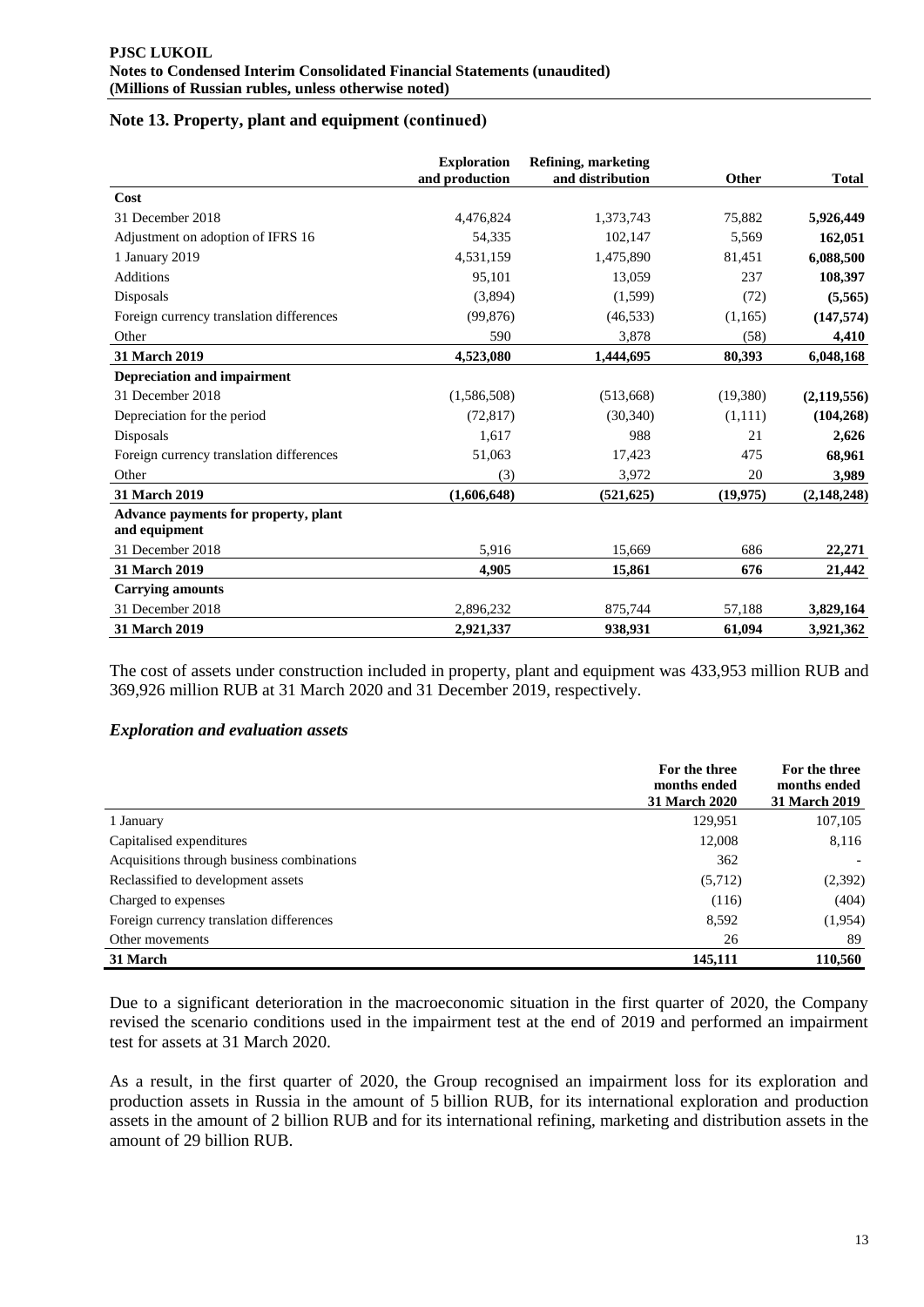# **Note 13. Property, plant and equipment (сontinued)**

|                                                       | <b>Exploration</b><br>and production | <b>Refining, marketing</b><br>and distribution | Other     | <b>Total</b>  |
|-------------------------------------------------------|--------------------------------------|------------------------------------------------|-----------|---------------|
| Cost                                                  |                                      |                                                |           |               |
| 31 December 2018                                      | 4,476,824                            | 1,373,743                                      | 75,882    | 5,926,449     |
| Adjustment on adoption of IFRS 16                     | 54,335                               | 102,147                                        | 5,569     | 162,051       |
| 1 January 2019                                        | 4,531,159                            | 1,475,890                                      | 81,451    | 6,088,500     |
| <b>Additions</b>                                      | 95,101                               | 13,059                                         | 237       | 108,397       |
| Disposals                                             | (3,894)                              | (1,599)                                        | (72)      | (5,565)       |
| Foreign currency translation differences              | (99, 876)                            | (46, 533)                                      | (1,165)   | (147, 574)    |
| Other                                                 | 590                                  | 3,878                                          | (58)      | 4,410         |
| 31 March 2019                                         | 4,523,080                            | 1,444,695                                      | 80,393    | 6,048,168     |
| <b>Depreciation and impairment</b>                    |                                      |                                                |           |               |
| 31 December 2018                                      | (1,586,508)                          | (513,668)                                      | (19,380)  | (2, 119, 556) |
| Depreciation for the period                           | (72, 817)                            | (30,340)                                       | (1,111)   | (104, 268)    |
| Disposals                                             | 1,617                                | 988                                            | 21        | 2,626         |
| Foreign currency translation differences              | 51,063                               | 17,423                                         | 475       | 68,961        |
| Other                                                 | (3)                                  | 3,972                                          | 20        | 3,989         |
| 31 March 2019                                         | (1,606,648)                          | (521, 625)                                     | (19, 975) | (2, 148, 248) |
| Advance payments for property, plant<br>and equipment |                                      |                                                |           |               |
| 31 December 2018                                      | 5,916                                | 15,669                                         | 686       | 22,271        |
| 31 March 2019                                         | 4,905                                | 15,861                                         | 676       | 21,442        |
| <b>Carrying amounts</b>                               |                                      |                                                |           |               |
| 31 December 2018                                      | 2,896,232                            | 875,744                                        | 57,188    | 3,829,164     |
| <b>31 March 2019</b>                                  | 2,921,337                            | 938,931                                        | 61,094    | 3,921,362     |

The cost of assets under construction included in property, plant and equipment was 433,953 million RUB and 369,926 million RUB at 31 March 2020 and 31 December 2019, respectively.

### *Exploration and evaluation assets*

|                                            | For the three<br>months ended<br><b>31 March 2020</b> | For the three<br>months ended<br>31 March 2019 |
|--------------------------------------------|-------------------------------------------------------|------------------------------------------------|
| 1 January                                  | 129,951                                               | 107,105                                        |
| Capitalised expenditures                   | 12,008                                                | 8,116                                          |
| Acquisitions through business combinations | 362                                                   |                                                |
| Reclassified to development assets         | (5,712)                                               | (2,392)                                        |
| Charged to expenses                        | (116)                                                 | (404)                                          |
| Foreign currency translation differences   | 8,592                                                 | (1,954)                                        |
| Other movements                            | 26                                                    | 89                                             |
| 31 March                                   | 145,111                                               | 110,560                                        |

Due to a significant deterioration in the macroeconomic situation in the first quarter of 2020, the Company revised the scenario conditions used in the impairment test at the end of 2019 and performed an impairment test for assets at 31 March 2020.

As a result, in the first quarter of 2020, the Group recognised an impairment loss for its exploration and production assets in Russia in the amount of 5 billion RUB, for its international exploration and production assets in the amount of 2 billion RUB and for its international refining, marketing and distribution assets in the amount of 29 billion RUB.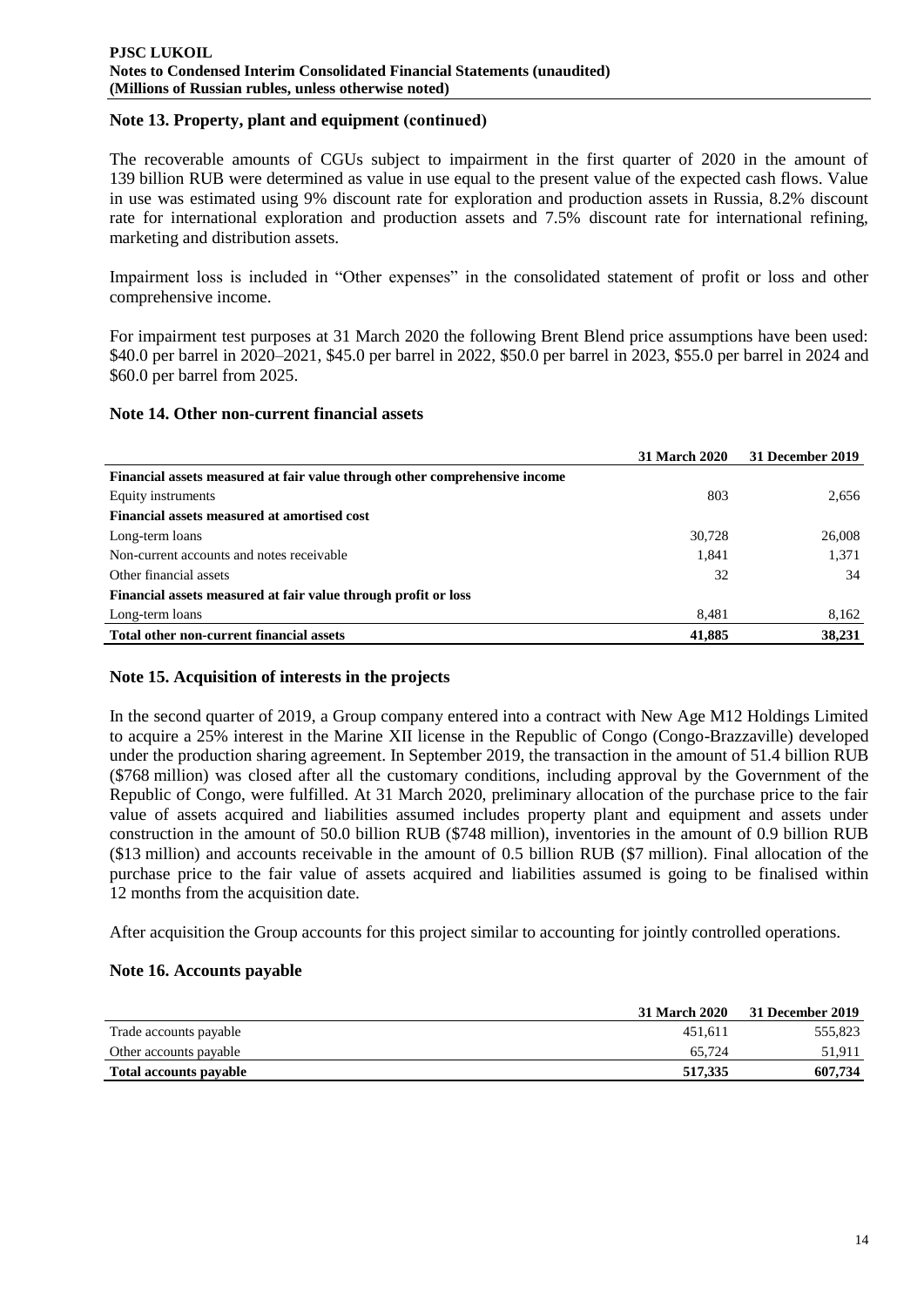# **Note 13. Property, plant and equipment (сontinued)**

The recoverable amounts of CGUs subject to impairment in the first quarter of 2020 in the amount of 139 billion RUB were determined as value in use equal to the present value of the expected cash flows. Value in use was estimated using 9% discount rate for exploration and production assets in Russia, 8.2% discount rate for international exploration and production assets and 7.5% discount rate for international refining, marketing and distribution assets.

Impairment loss is included in "Other expenses" in the consolidated statement of profit or loss and other comprehensive income.

For impairment test purposes at 31 March 2020 the following Brent Blend price assumptions have been used: \$40.0 per barrel in 2020–2021, \$45.0 per barrel in 2022, \$50.0 per barrel in 2023, \$55.0 per barrel in 2024 and \$60.0 per barrel from 2025.

### **Note 14. Other non-current financial assets**

|                                                                            | <b>31 March 2020</b> | 31 December 2019 |
|----------------------------------------------------------------------------|----------------------|------------------|
| Financial assets measured at fair value through other comprehensive income |                      |                  |
| Equity instruments                                                         | 803                  | 2,656            |
| Financial assets measured at amortised cost                                |                      |                  |
| Long-term loans                                                            | 30.728               | 26,008           |
| Non-current accounts and notes receivable                                  | 1,841                | 1,371            |
| Other financial assets                                                     | 32                   | 34               |
| Financial assets measured at fair value through profit or loss             |                      |                  |
| Long-term loans                                                            | 8.481                | 8,162            |
| Total other non-current financial assets                                   | 41,885               | 38,231           |

### **Note 15. Acquisition of interests in the projects**

In the second quarter of 2019, a Group company entered into a contract with New Age M12 Holdings Limited to acquire a 25% interest in the Marine XII license in the Republic of Congo (Congo-Brazzaville) developed under the production sharing agreement. In September 2019, the transaction in the amount of 51.4 billion RUB (\$768 million) was closed after all the customary conditions, including approval by the Government of the Republic of Congo, were fulfilled. At 31 March 2020, preliminary allocation of the purchase price to the fair value of assets acquired and liabilities assumed includes property plant and equipment and assets under construction in the amount of 50.0 billion RUB (\$748 million), inventories in the amount of 0.9 billion RUB (\$13 million) and accounts receivable in the amount of 0.5 billion RUB (\$7 million). Final allocation of the purchase price to the fair value of assets acquired and liabilities assumed is going to be finalised within 12 months from the acquisition date.

After acquisition the Group accounts for this project similar to accounting for jointly controlled operations.

### **Note 16. Accounts payable**

|                               | 31 March 2020 | <b>31 December 2019</b> |
|-------------------------------|---------------|-------------------------|
| Trade accounts payable        | 451.611       | 555.823                 |
| Other accounts payable        | 65.724        | 51.911                  |
| <b>Total accounts payable</b> | 517.335       | 607.734                 |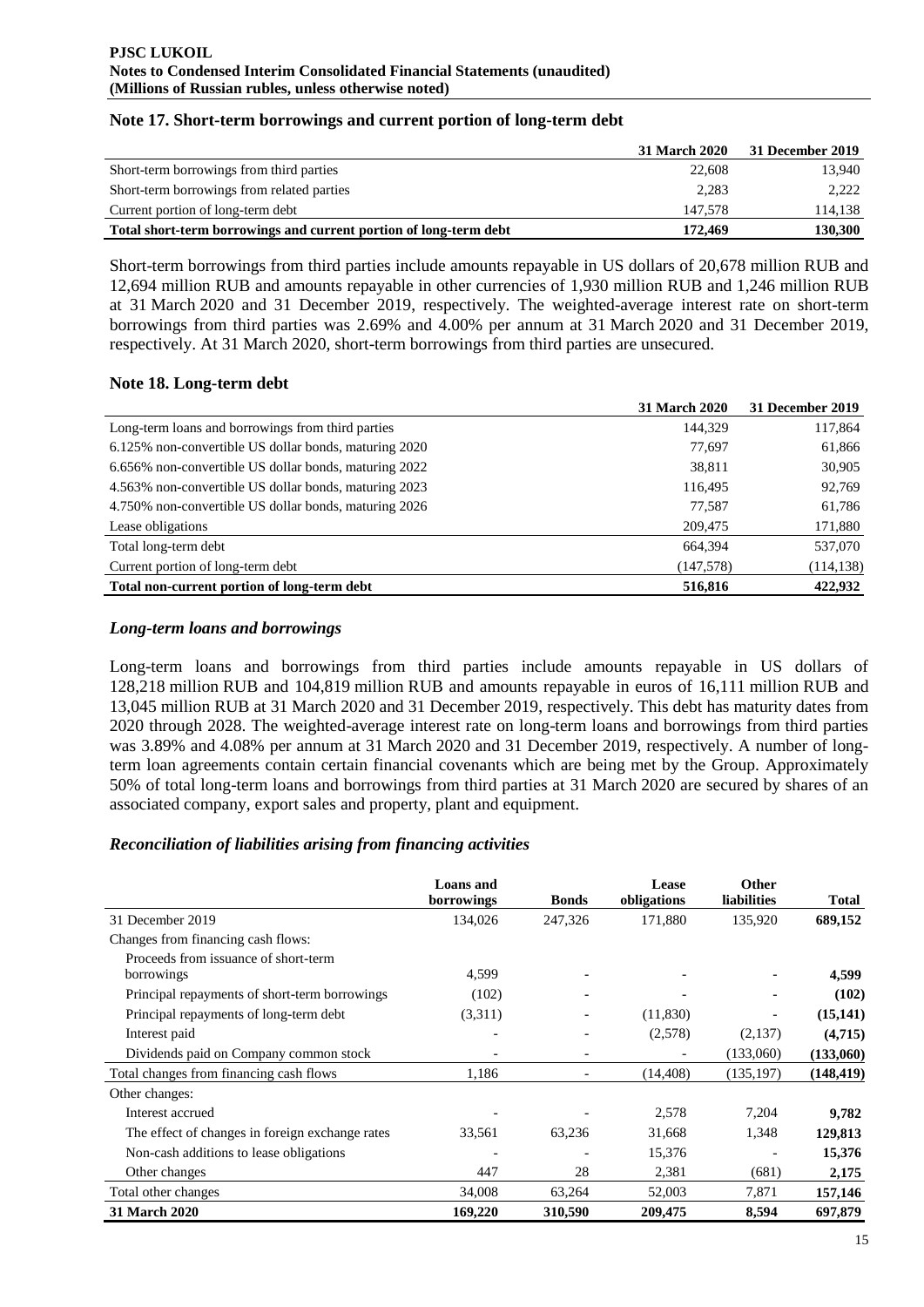|  |  | Note 17. Short-term borrowings and current portion of long-term debt |  |  |  |
|--|--|----------------------------------------------------------------------|--|--|--|
|--|--|----------------------------------------------------------------------|--|--|--|

|                                                                   | <b>31 March 2020</b> | 31 December 2019 |
|-------------------------------------------------------------------|----------------------|------------------|
| Short-term borrowings from third parties                          | 22,608               | 13.940           |
| Short-term borrowings from related parties                        | 2.283                | 2.222            |
| Current portion of long-term debt                                 | 147.578              | 114,138          |
| Total short-term borrowings and current portion of long-term debt | 172.469              | 130,300          |

Short-term borrowings from third parties include amounts repayable in US dollars of 20,678 million RUB and 12,694 million RUB and amounts repayable in other currencies of 1,930 million RUB and 1,246 million RUB at 31 March 2020 and 31 December 2019, respectively. The weighted-average interest rate on short-term borrowings from third parties was 2.69% and 4.00% per annum at 31 March 2020 and 31 December 2019, respectively. At 31 March 2020, short-term borrowings from third parties are unsecured.

# **Note 18. Long-term debt**

|                                                       | <b>31 March 2020</b> | 31 December 2019 |
|-------------------------------------------------------|----------------------|------------------|
| Long-term loans and borrowings from third parties     | 144,329              | 117,864          |
| 6.125% non-convertible US dollar bonds, maturing 2020 | 77,697               | 61,866           |
| 6.656% non-convertible US dollar bonds, maturing 2022 | 38,811               | 30,905           |
| 4.563% non-convertible US dollar bonds, maturing 2023 | 116,495              | 92,769           |
| 4.750% non-convertible US dollar bonds, maturing 2026 | 77.587               | 61,786           |
| Lease obligations                                     | 209,475              | 171,880          |
| Total long-term debt                                  | 664.394              | 537,070          |
| Current portion of long-term debt                     | (147, 578)           | (114, 138)       |
| Total non-current portion of long-term debt           | 516,816              | 422,932          |

# *Long-term loans and borrowings*

Long-term loans and borrowings from third parties include amounts repayable in US dollars of 128,218 million RUB and 104,819 million RUB and amounts repayable in euros of 16,111 million RUB and 13,045 million RUB at 31 March 2020 and 31 December 2019, respectively. This debt has maturity dates from 2020 through 2028. The weighted-average interest rate on long-term loans and borrowings from third parties was 3.89% and 4.08% per annum at 31 March 2020 and 31 December 2019, respectively. A number of longterm loan agreements contain certain financial covenants which are being met by the Group. Approximately 50% of total long-term loans and borrowings from third parties at 31 March 2020 are secured by shares of an associated company, export sales and property, plant and equipment.

# *Reconciliation of liabilities arising from financing activities*

|                                                 | <b>Loans</b> and<br>borrowings | <b>Bonds</b>             | Lease<br>obligations     | <b>Other</b><br>liabilities | Total      |
|-------------------------------------------------|--------------------------------|--------------------------|--------------------------|-----------------------------|------------|
| 31 December 2019                                | 134,026                        | 247,326                  | 171,880                  | 135,920                     | 689,152    |
| Changes from financing cash flows:              |                                |                          |                          |                             |            |
| Proceeds from issuance of short-term            |                                |                          |                          |                             |            |
| borrowings                                      | 4,599                          |                          |                          |                             | 4,599      |
| Principal repayments of short-term borrowings   | (102)                          | $\overline{\phantom{a}}$ | $\overline{\phantom{a}}$ |                             | (102)      |
| Principal repayments of long-term debt          | (3,311)                        |                          | (11,830)                 |                             | (15, 141)  |
| Interest paid                                   | $\overline{\phantom{a}}$       | ٠                        | (2,578)                  | (2,137)                     | (4,715)    |
| Dividends paid on Company common stock          |                                |                          |                          | (133,060)                   | (133,060)  |
| Total changes from financing cash flows         | 1,186                          |                          | (14, 408)                | (135, 197)                  | (148, 419) |
| Other changes:                                  |                                |                          |                          |                             |            |
| Interest accrued                                |                                |                          | 2,578                    | 7,204                       | 9,782      |
| The effect of changes in foreign exchange rates | 33,561                         | 63,236                   | 31,668                   | 1,348                       | 129,813    |
| Non-cash additions to lease obligations         | $\overline{\phantom{a}}$       |                          | 15,376                   |                             | 15,376     |
| Other changes                                   | 447                            | 28                       | 2,381                    | (681)                       | 2,175      |
| Total other changes                             | 34,008                         | 63,264                   | 52,003                   | 7,871                       | 157,146    |
| 31 March 2020                                   | 169,220                        | 310,590                  | 209,475                  | 8,594                       | 697,879    |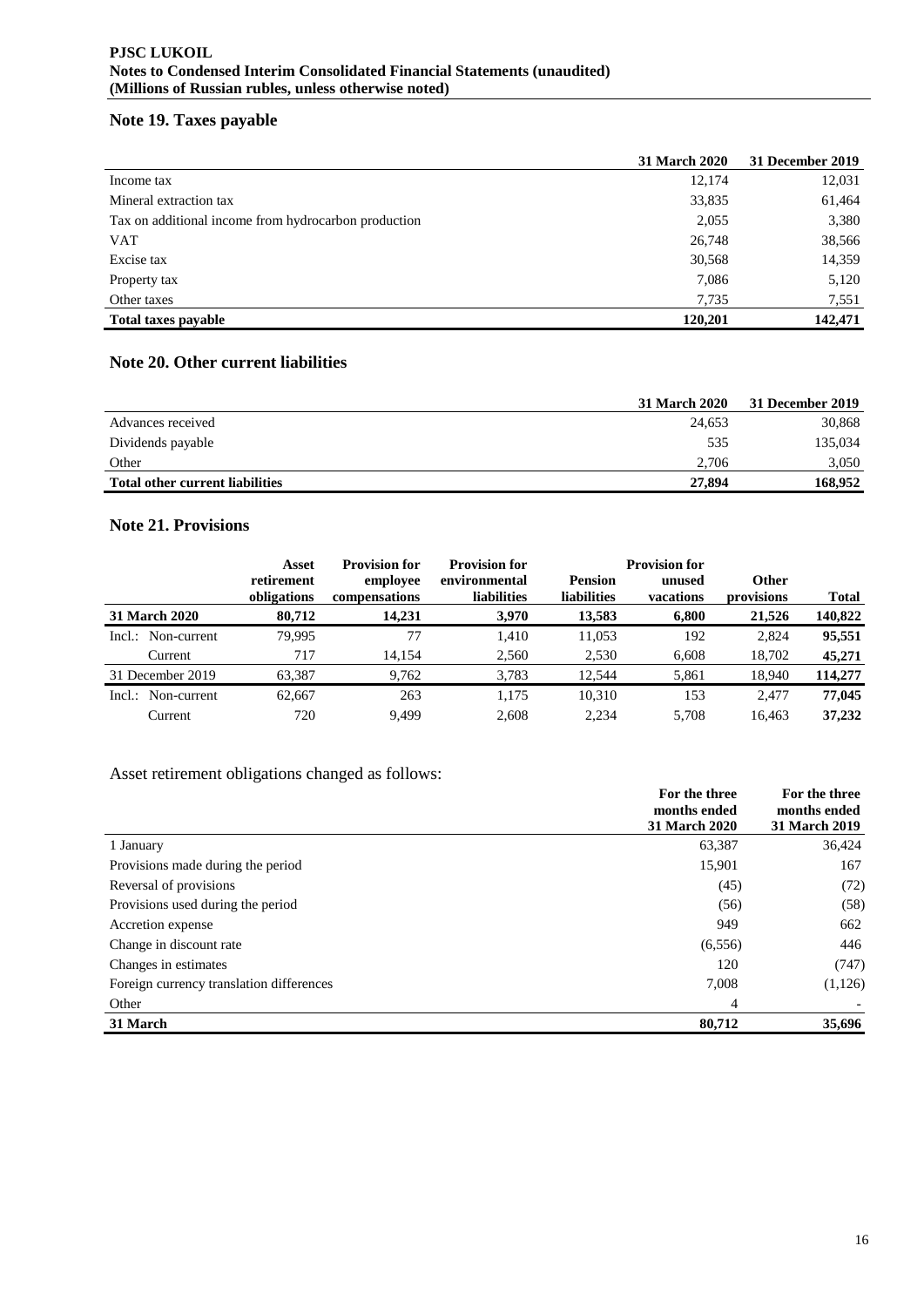# **Note 19. Taxes payable**

|                                                      | 31 March 2020 | 31 December 2019 |
|------------------------------------------------------|---------------|------------------|
| Income tax                                           | 12,174        | 12,031           |
| Mineral extraction tax                               | 33,835        | 61,464           |
| Tax on additional income from hydrocarbon production | 2,055         | 3,380            |
| <b>VAT</b>                                           | 26,748        | 38,566           |
| Excise tax                                           | 30,568        | 14,359           |
| Property tax                                         | 7,086         | 5,120            |
| Other taxes                                          | 7,735         | 7,551            |
| <b>Total taxes payable</b>                           | 120,201       | 142,471          |

# **Note 20. Other current liabilities**

|                                 | <b>31 March 2020</b> | 31 December 2019 |
|---------------------------------|----------------------|------------------|
| Advances received               | 24.653               | 30,868           |
| Dividends payable               | 535                  | 135,034          |
| Other                           | 2.706                | 3,050            |
| Total other current liabilities | 27,894               | 168.952          |

# **Note 21. Provisions**

|                    | Asset                     | <b>Provision for</b>      | <b>Provision for</b>                |                                      | <b>Provision for</b> |                            |              |
|--------------------|---------------------------|---------------------------|-------------------------------------|--------------------------------------|----------------------|----------------------------|--------------|
|                    | retirement<br>obligations | employee<br>compensations | environmental<br><b>liabilities</b> | <b>Pension</b><br><b>liabilities</b> | unused<br>vacations  | <b>Other</b><br>provisions | <b>Total</b> |
| 31 March 2020      | 80,712                    | 14.231                    | 3,970                               | 13,583                               | 6,800                | 21,526                     | 140,822      |
| Incl.: Non-current | 79.995                    | 77                        | 1,410                               | 11,053                               | 192                  | 2,824                      | 95,551       |
| Current            | 717                       | 14,154                    | 2,560                               | 2,530                                | 6,608                | 18,702                     | 45,271       |
| 31 December 2019   | 63,387                    | 9,762                     | 3,783                               | 12.544                               | 5,861                | 18,940                     | 114,277      |
| Incl.: Non-current | 62,667                    | 263                       | 1.175                               | 10.310                               | 153                  | 2.477                      | 77,045       |
| Current            | 720                       | 9.499                     | 2,608                               | 2.234                                | 5.708                | 16.463                     | 37,232       |

# Asset retirement obligations changed as follows:

|                                          | For the three<br>months ended<br><b>31 March 2020</b> | For the three<br>months ended<br><b>31 March 2019</b> |
|------------------------------------------|-------------------------------------------------------|-------------------------------------------------------|
| 1 January                                | 63,387                                                | 36,424                                                |
| Provisions made during the period        | 15,901                                                | 167                                                   |
| Reversal of provisions                   | (45)                                                  | (72)                                                  |
| Provisions used during the period        | (56)                                                  | (58)                                                  |
| Accretion expense                        | 949                                                   | 662                                                   |
| Change in discount rate                  | (6, 556)                                              | 446                                                   |
| Changes in estimates                     | 120                                                   | (747)                                                 |
| Foreign currency translation differences | 7,008                                                 | (1, 126)                                              |
| Other                                    | 4                                                     |                                                       |
| 31 March                                 | 80,712                                                | 35,696                                                |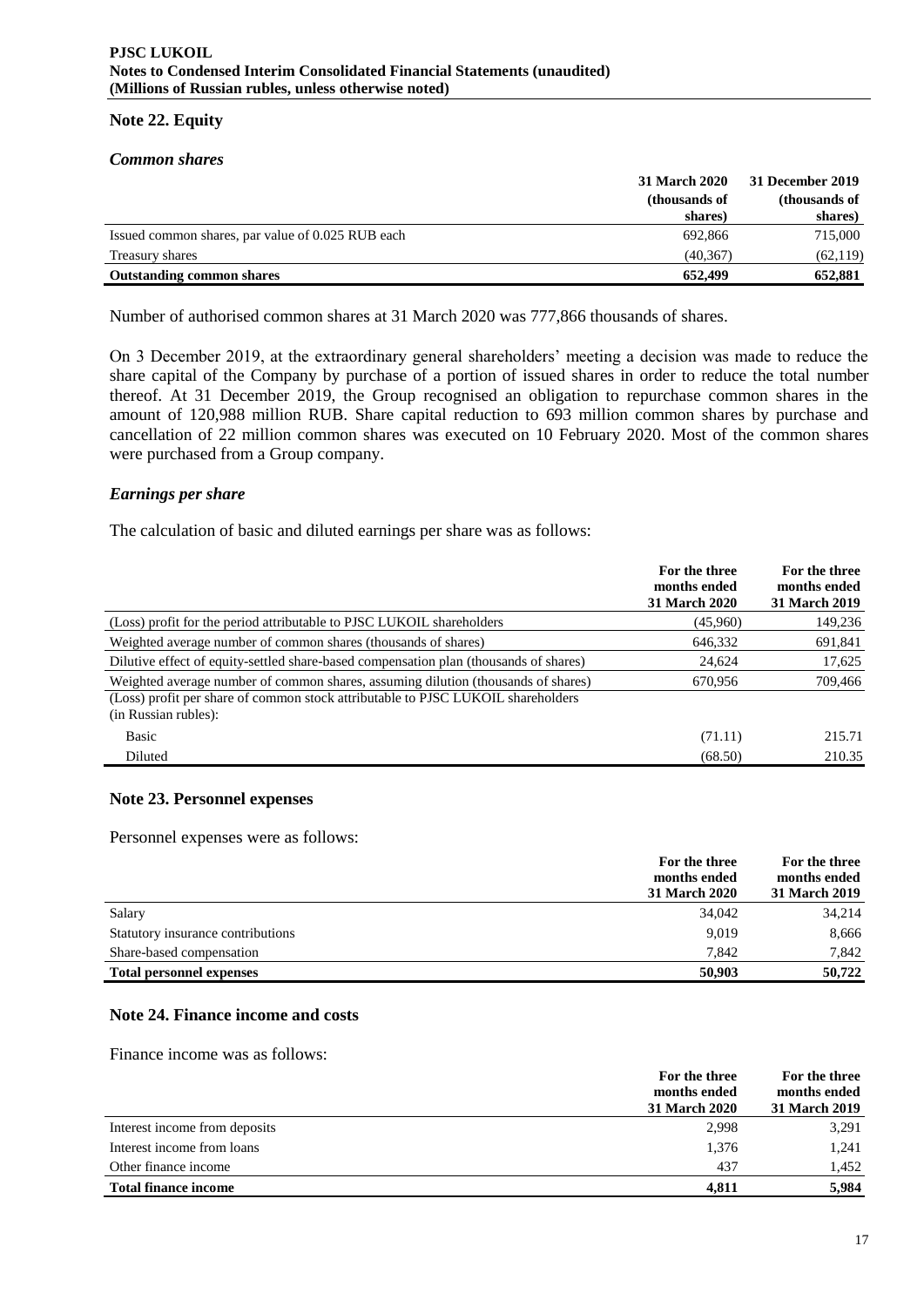### **Note 22. Equity**

### *Common shares*

|                                                   | <b>31 March 2020</b> | 31 December 2019 |
|---------------------------------------------------|----------------------|------------------|
|                                                   | (thousands of        | (thousands of    |
|                                                   | shares)              | shares)          |
| Issued common shares, par value of 0.025 RUB each | 692.866              | 715,000          |
| Treasury shares                                   | (40.367)             | (62, 119)        |
| <b>Outstanding common shares</b>                  | 652,499              | 652,881          |

Number of authorised common shares at 31 March 2020 was 777,866 thousands of shares.

On 3 December 2019, at the extraordinary general shareholders' meeting a decision was made to reduce the share capital of the Company by purchase of a portion of issued shares in order to reduce the total number thereof. At 31 December 2019, the Group recognised an obligation to repurchase common shares in the amount of 120,988 million RUB. Share capital reduction to 693 million common shares by purchase and cancellation of 22 million common shares was executed on 10 February 2020. Most of the common shares were purchased from a Group company.

### *Earnings per share*

The calculation of basic and diluted earnings per share was as follows:

|                                                                                                                                                                                               | For the three<br>months ended<br><b>31 March 2020</b> | For the three<br>months ended<br><b>31 March 2019</b> |
|-----------------------------------------------------------------------------------------------------------------------------------------------------------------------------------------------|-------------------------------------------------------|-------------------------------------------------------|
| (Loss) profit for the period attributable to PJSC LUKOIL shareholders                                                                                                                         | (45,960)                                              | 149,236                                               |
| Weighted average number of common shares (thousands of shares)                                                                                                                                | 646,332                                               | 691,841                                               |
| Dilutive effect of equity-settled share-based compensation plan (thousands of shares)                                                                                                         | 24,624                                                | 17,625                                                |
| Weighted average number of common shares, assuming dilution (thousands of shares)<br>(Loss) profit per share of common stock attributable to PJSC LUKOIL shareholders<br>(in Russian rubles): | 670,956                                               | 709,466                                               |
| Basic                                                                                                                                                                                         | (71.11)                                               | 215.71                                                |
| Diluted                                                                                                                                                                                       | (68.50)                                               | 210.35                                                |

### **Note 23. Personnel expenses**

Personnel expenses were as follows:

|                                   | For the three<br>months ended | For the three<br>months ended |
|-----------------------------------|-------------------------------|-------------------------------|
|                                   | 31 March 2020                 | 31 March 2019                 |
| Salary                            | 34,042                        | 34,214                        |
| Statutory insurance contributions | 9,019                         | 8,666                         |
| Share-based compensation          | 7.842                         | 7,842                         |
| <b>Total personnel expenses</b>   | 50,903                        | 50,722                        |

### **Note 24. Finance income and costs**

Finance income was as follows:

|                               | For the three        | For the three |
|-------------------------------|----------------------|---------------|
|                               | months ended         | months ended  |
|                               | <b>31 March 2020</b> | 31 March 2019 |
| Interest income from deposits | 2,998                | 3,291         |
| Interest income from loans    | 1,376                | 1,241         |
| Other finance income          | 437                  | 1.452         |
| <b>Total finance income</b>   | 4.811                | 5,984         |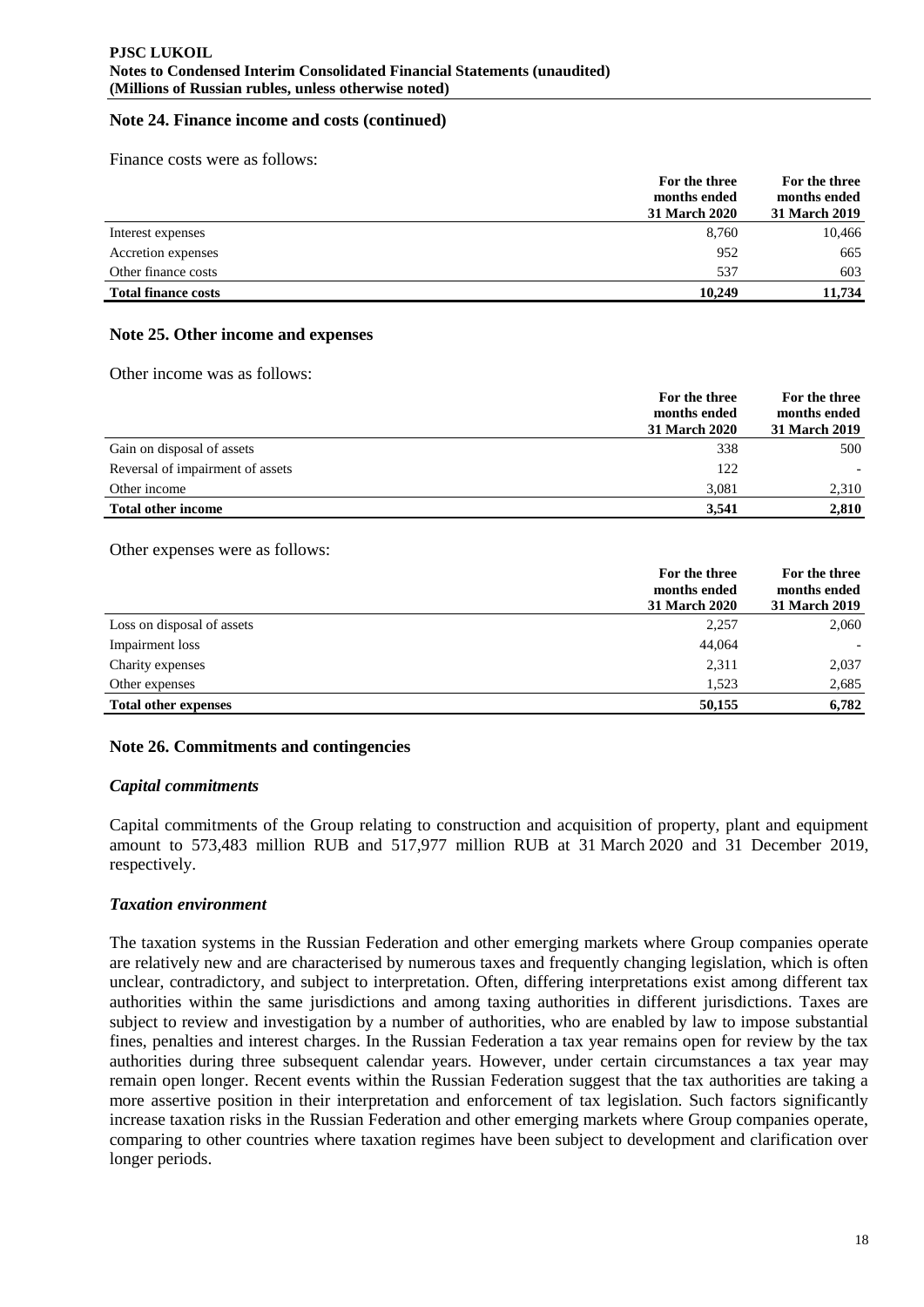### **Note 24. Finance income and costs (continued)**

Finance costs were as follows:

|                            | For the three<br>months ended<br>31 March 2020 | For the three<br>months ended<br>31 March 2019 |
|----------------------------|------------------------------------------------|------------------------------------------------|
| Interest expenses          | 8,760                                          | 10,466                                         |
| Accretion expenses         | 952                                            | 665                                            |
| Other finance costs        | 537                                            | 603                                            |
| <b>Total finance costs</b> | 10.249                                         | 11.734                                         |

### **Note 25. Other income and expenses**

Other income was as follows:

|                                  | For the three<br>months ended<br><b>31 March 2020</b> | For the three<br>months ended<br>31 March 2019 |
|----------------------------------|-------------------------------------------------------|------------------------------------------------|
| Gain on disposal of assets       | 338                                                   | 500                                            |
| Reversal of impairment of assets | 122                                                   |                                                |
| Other income                     | 3.081                                                 | 2,310                                          |
| <b>Total other income</b>        | 3.541                                                 | 2,810                                          |

#### Other expenses were as follows:

|                             | For the three<br>months ended | For the three<br>months ended |
|-----------------------------|-------------------------------|-------------------------------|
|                             | 31 March 2020                 | 31 March 2019                 |
| Loss on disposal of assets  | 2,257                         | 2,060                         |
| Impairment loss             | 44,064                        | $\overline{\phantom{0}}$      |
| Charity expenses            | 2,311                         | 2,037                         |
| Other expenses              | 1.523                         | 2,685                         |
| <b>Total other expenses</b> | 50,155                        | 6,782                         |
|                             |                               |                               |

### **Note 26. Commitments and contingencies**

#### *Capital commitments*

Capital commitments of the Group relating to construction and acquisition of property, plant and equipment amount to 573,483 million RUB and 517,977 million RUB at 31 March 2020 and 31 December 2019, respectively.

#### *Taxation environment*

The taxation systems in the Russian Federation and other emerging markets where Group companies operate are relatively new and are characterised by numerous taxes and frequently changing legislation, which is often unclear, contradictory, and subject to interpretation. Often, differing interpretations exist among different tax authorities within the same jurisdictions and among taxing authorities in different jurisdictions. Taxes are subject to review and investigation by a number of authorities, who are enabled by law to impose substantial fines, penalties and interest charges. In the Russian Federation a tax year remains open for review by the tax authorities during three subsequent calendar years. However, under certain circumstances a tax year may remain open longer. Recent events within the Russian Federation suggest that the tax authorities are taking a more assertive position in their interpretation and enforcement of tax legislation. Such factors significantly increase taxation risks in the Russian Federation and other emerging markets where Group companies operate, comparing to other countries where taxation regimes have been subject to development and clarification over longer periods.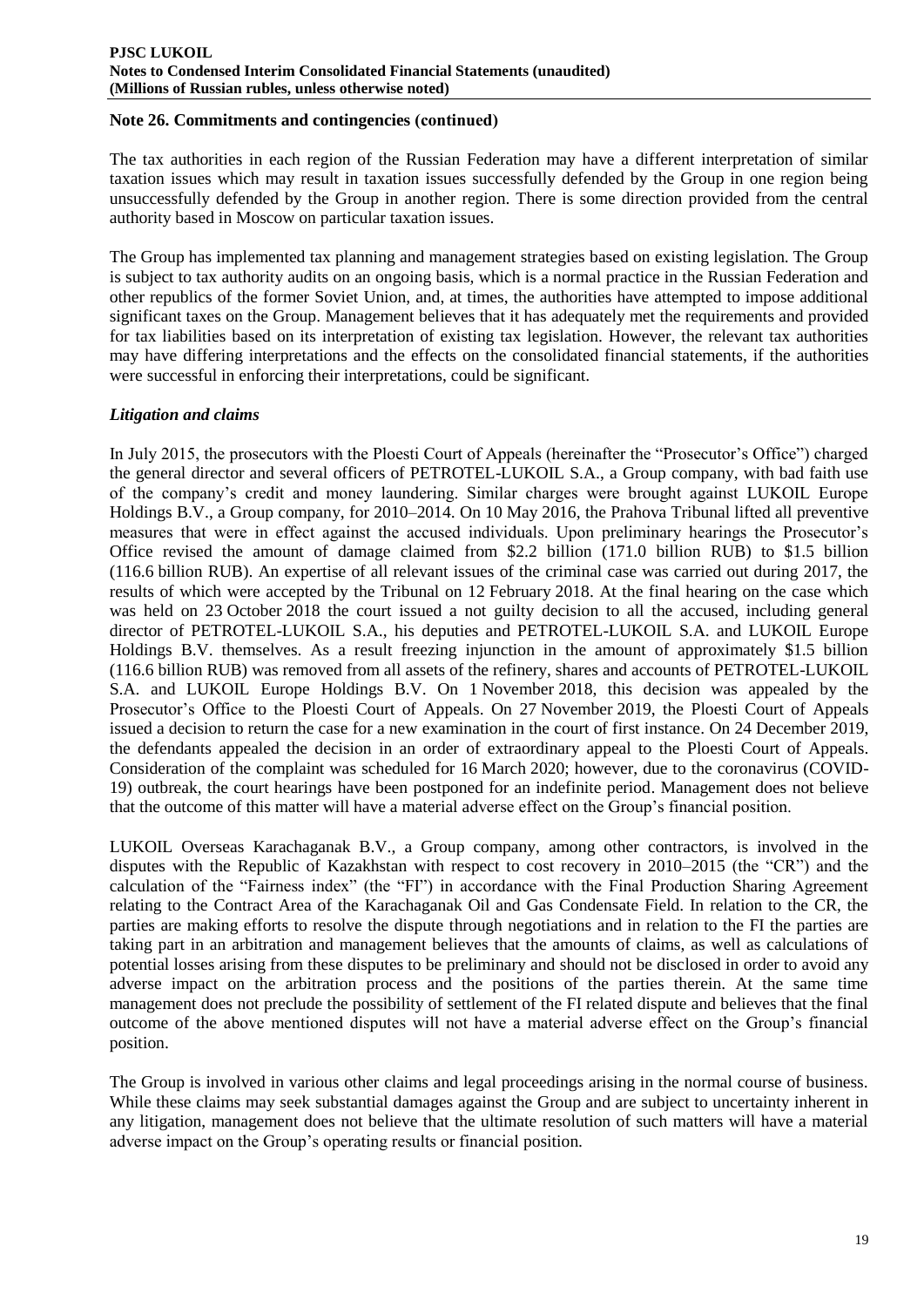### **Note 26. Commitments and contingencies (сontinued)**

The tax authorities in each region of the Russian Federation may have a different interpretation of similar taxation issues which may result in taxation issues successfully defended by the Group in one region being unsuccessfully defended by the Group in another region. There is some direction provided from the central authority based in Moscow on particular taxation issues.

The Group has implemented tax planning and management strategies based on existing legislation. The Group is subject to tax authority audits on an ongoing basis, which is a normal practice in the Russian Federation and other republics of the former Soviet Union, and, at times, the authorities have attempted to impose additional significant taxes on the Group. Management believes that it has adequately met the requirements and provided for tax liabilities based on its interpretation of existing tax legislation. However, the relevant tax authorities may have differing interpretations and the effects on the consolidated financial statements, if the authorities were successful in enforcing their interpretations, could be significant.

# *Litigation and claims*

In July 2015, the prosecutors with the Ploesti Court of Appeals (hereinafter the "Prosecutor's Office") charged the general director and several officers of PETROTEL-LUKOIL S.A., a Group company, with bad faith use of the company's credit and money laundering. Similar charges were brought against LUKOIL Europe Holdings B.V., a Group company, for 2010–2014. On 10 May 2016, the Prahova Tribunal lifted all preventive measures that were in effect against the accused individuals. Upon preliminary hearings the Prosecutor's Office revised the amount of damage claimed from \$2.2 billion (171.0 billion RUB) to \$1.5 billion (116.6 billion RUB). An expertise of all relevant issues of the criminal case was carried out during 2017, the results of which were accepted by the Tribunal on 12 February 2018. At the final hearing on the case which was held on 23 October 2018 the court issued a not guilty decision to all the accused, including general director of PETROTEL-LUKOIL S.A., his deputies and PETROTEL-LUKOIL S.A. and LUKOIL Europe Holdings B.V. themselves. As a result freezing injunction in the amount of approximately \$1.5 billion (116.6 billion RUB) was removed from all assets of the refinery, shares and accounts of PETROTEL-LUKOIL S.A. and LUKOIL Europe Holdings B.V. On 1 November 2018, this decision was appealed by the Prosecutor's Office to the Ploesti Court of Appeals. On 27 November 2019, the Ploesti Court of Appeals issued a decision to return the case for a new examination in the court of first instance. On 24 December 2019, the defendants appealed the decision in an order of extraordinary appeal to the Ploesti Court of Appeals. Consideration of the complaint was scheduled for 16 March 2020; however, due to the coronavirus (COVID-19) outbreak, the court hearings have been postponed for an indefinite period. Management does not believe that the outcome of this matter will have a material adverse effect on the Group's financial position.

LUKOIL Overseas Karachaganak B.V., a Group company, among other contractors, is involved in the disputes with the Republic of Kazakhstan with respect to cost recovery in 2010–2015 (the "CR") and the calculation of the "Fairness index" (the "FI") in accordance with the Final Production Sharing Agreement relating to the Contract Area of the Karachaganak Oil and Gas Condensate Field. In relation to the CR, the parties are making efforts to resolve the dispute through negotiations and in relation to the FI the parties are taking part in an arbitration and management believes that the amounts of claims, as well as calculations of potential losses arising from these disputes to be preliminary and should not be disclosed in order to avoid any adverse impact on the arbitration process and the positions of the parties therein. At the same time management does not preclude the possibility of settlement of the FI related dispute and believes that the final outcome of the above mentioned disputes will not have a material adverse effect on the Group's financial position.

The Group is involved in various other claims and legal proceedings arising in the normal course of business. While these claims may seek substantial damages against the Group and are subject to uncertainty inherent in any litigation, management does not believe that the ultimate resolution of such matters will have a material adverse impact on the Group's operating results or financial position.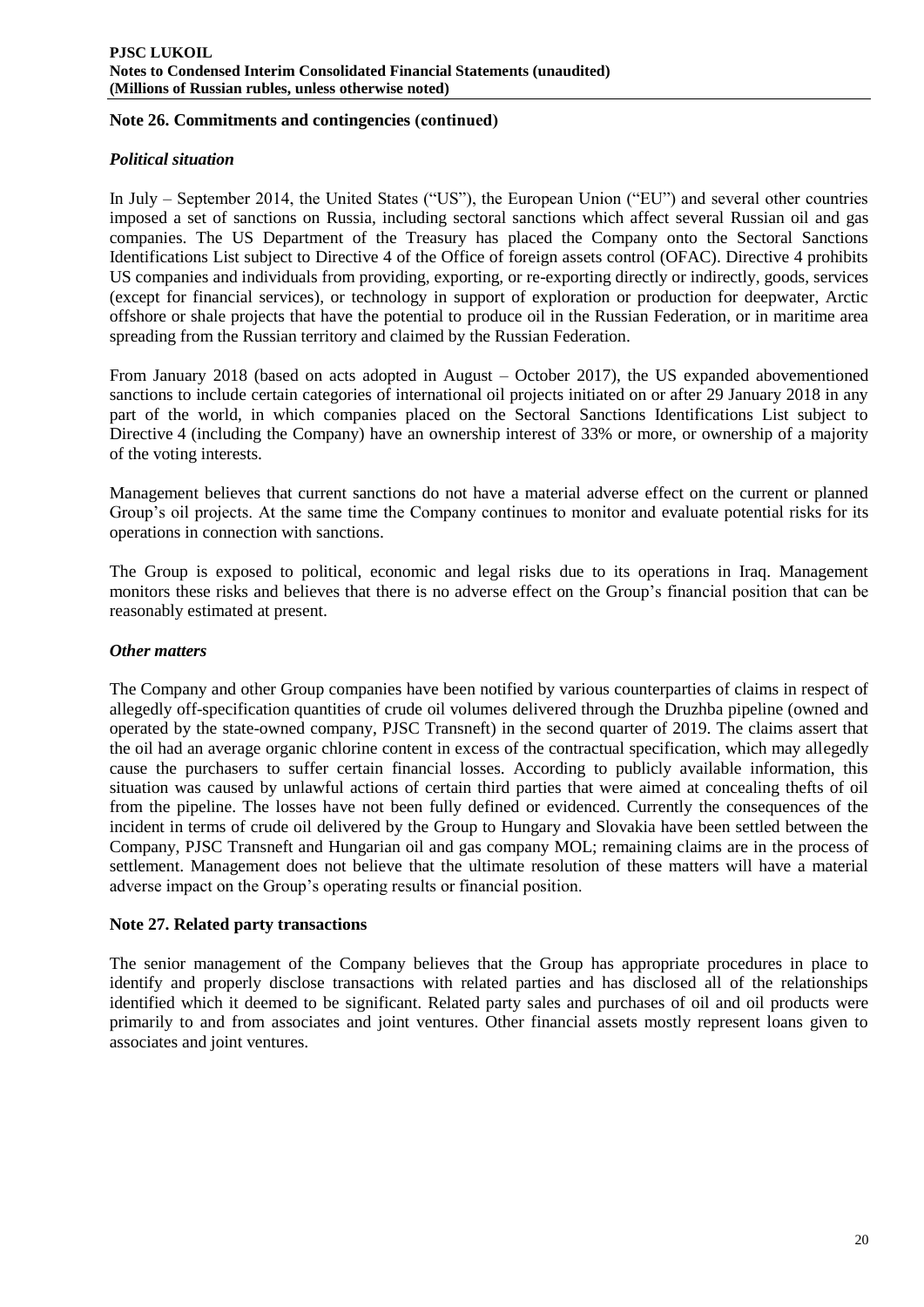### **Note 26. Commitments and contingencies (сontinued)**

# *Political situation*

In July – September 2014, the United States ("US"), the European Union ("EU") and several other countries imposed a set of sanctions on Russia, including sectoral sanctions which affect several Russian oil and gas companies. The US Department of the Treasury has placed the Company onto the Sectoral Sanctions Identifications List subject to Directive 4 of the Office of foreign assets control (OFAC). Directive 4 prohibits US companies and individuals from providing, exporting, or re-exporting directly or indirectly, goods, services (except for financial services), or technology in support of exploration or production for deepwater, Arctic offshore or shale projects that have the potential to produce oil in the Russian Federation, or in maritime area spreading from the Russian territory and claimed by the Russian Federation.

From January 2018 (based on acts adopted in August – October 2017), the US expanded abovementioned sanctions to include certain categories of international oil projects initiated on or after 29 January 2018 in any part of the world, in which companies placed on the Sectoral Sanctions Identifications List subject to Directive 4 (including the Company) have an ownership interest of 33% or more, or ownership of a majority of the voting interests.

Management believes that current sanctions do not have a material adverse effect on the current or planned Group's oil projects. At the same time the Company continues to monitor and evaluate potential risks for its operations in connection with sanctions.

The Group is exposed to political, economic and legal risks due to its operations in Iraq. Management monitors these risks and believes that there is no adverse effect on the Group's financial position that can be reasonably estimated at present.

### *Other matters*

The Company and other Group companies have been notified by various counterparties of claims in respect of allegedly off-specification quantities of crude oil volumes delivered through the Druzhba pipeline (owned and operated by the state-owned company, PJSC Transneft) in the second quarter of 2019. The claims assert that the oil had an average organic chlorine content in excess of the contractual specification, which may allegedly cause the purchasers to suffer certain financial losses. According to publicly available information, this situation was caused by unlawful actions of certain third parties that were aimed at concealing thefts of oil from the pipeline. The losses have not been fully defined or evidenced. Currently the consequences of the incident in terms of crude oil delivered by the Group to Hungary and Slovakia have been settled between the Company, PJSC Transneft and Hungarian oil and gas company MOL; remaining claims are in the process of settlement. Management does not believe that the ultimate resolution of these matters will have a material adverse impact on the Group's operating results or financial position.

### **Note 27. Related party transactions**

The senior management of the Company believes that the Group has appropriate procedures in place to identify and properly disclose transactions with related parties and has disclosed all of the relationships identified which it deemed to be significant. Related party sales and purchases of oil and oil products were primarily to and from associates and joint ventures. Other financial assets mostly represent loans given to associates and joint ventures.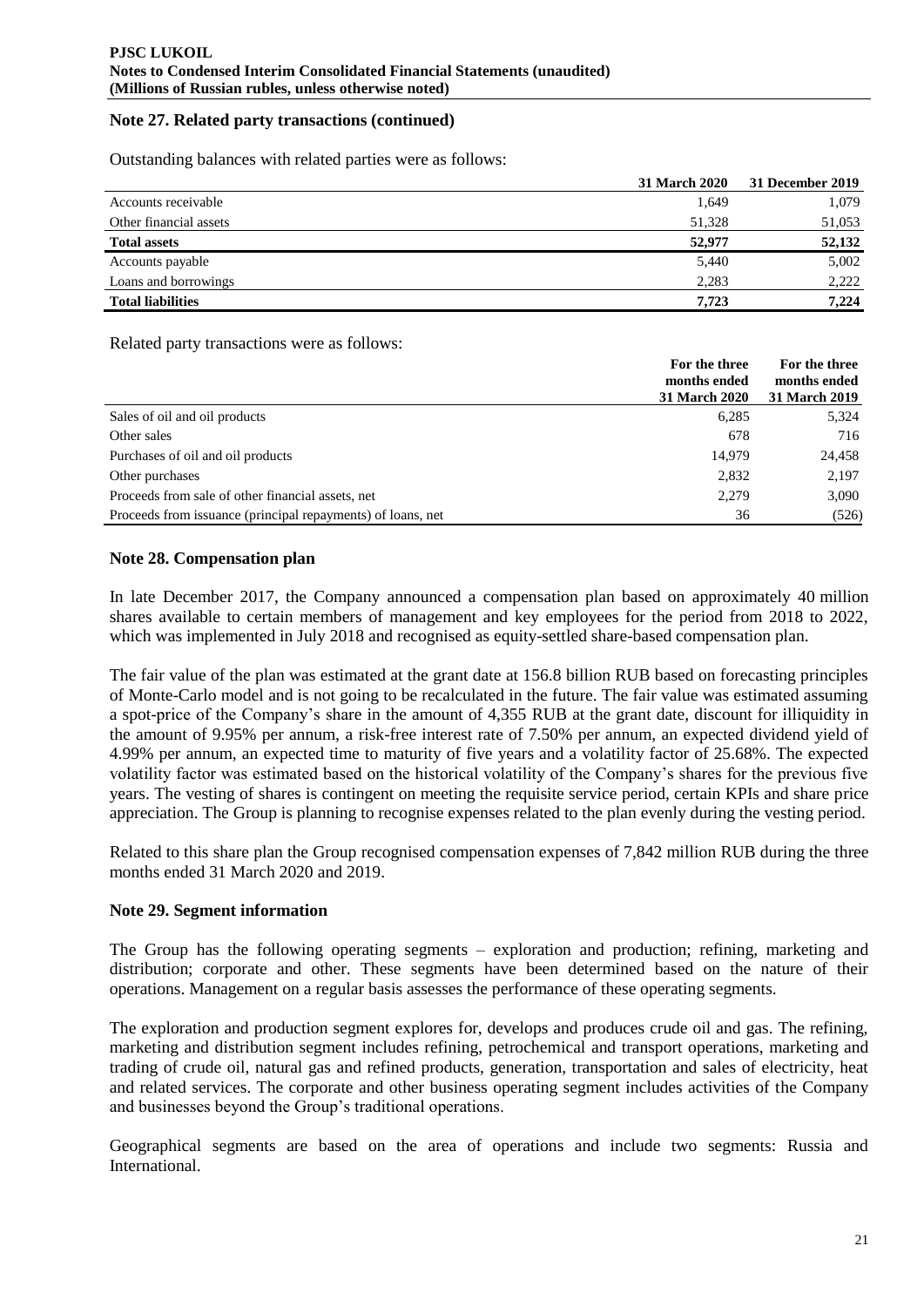### **Note 27. Related party transactions (continued)**

Outstanding balances with related parties were as follows:

|                          | <b>31 March 2020</b> | 31 December 2019 |
|--------------------------|----------------------|------------------|
| Accounts receivable      | 1,649                | 1,079            |
| Other financial assets   | 51,328               | 51,053           |
| <b>Total assets</b>      | 52,977               | 52,132           |
| Accounts payable         | 5,440                | 5,002            |
| Loans and borrowings     | 2,283                | 2.222            |
| <b>Total liabilities</b> | 7.723                | 7.224            |

Related party transactions were as follows:

|                                                             | For the three<br>months ended<br><b>31 March 2020</b> | For the three<br>months ended<br>31 March 2019 |
|-------------------------------------------------------------|-------------------------------------------------------|------------------------------------------------|
| Sales of oil and oil products                               | 6,285                                                 | 5,324                                          |
| Other sales                                                 | 678                                                   | 716                                            |
| Purchases of oil and oil products                           | 14.979                                                | 24,458                                         |
| Other purchases                                             | 2,832                                                 | 2,197                                          |
| Proceeds from sale of other financial assets, net           | 2,279                                                 | 3,090                                          |
| Proceeds from issuance (principal repayments) of loans, net | 36                                                    | (526)                                          |

# **Note 28. Compensation plan**

In late December 2017, the Company announced a compensation plan based on approximately 40 million shares available to certain members of management and key employees for the period from 2018 to 2022, which was implemented in July 2018 and recognised as equity-settled share-based compensation plan.

The fair value of the plan was estimated at the grant date at 156.8 billion RUB based on forecasting principles of Monte-Carlo model and is not going to be recalculated in the future. The fair value was estimated assuming a spot-price of the Company's share in the amount of 4,355 RUB at the grant date, discount for illiquidity in the amount of 9.95% per annum, a risk-free interest rate of 7.50% per annum, an expected dividend yield of 4.99% per annum, an expected time to maturity of five years and a volatility factor of 25.68%. The expected volatility factor was estimated based on the historical volatility of the Company's shares for the previous five years. The vesting of shares is contingent on meeting the requisite service period, certain KPIs and share price appreciation. The Group is planning to recognise expenses related to the plan evenly during the vesting period.

Related to this share plan the Group recognised compensation expenses of 7,842 million RUB during the three months ended 31 March 2020 and 2019.

### **Note 29. Segment information**

The Group has the following operating segments – exploration and production; refining, marketing and distribution; corporate and other. These segments have been determined based on the nature of their operations. Management on a regular basis assesses the performance of these operating segments.

The exploration and production segment explores for, develops and produces crude oil and gas. The refining, marketing and distribution segment includes refining, petrochemical and transport operations, marketing and trading of crude oil, natural gas and refined products, generation, transportation and sales of electricity, heat and related services. The corporate and other business operating segment includes activities of the Company and businesses beyond the Group's traditional operations.

Geographical segments are based on the area of operations and include two segments: Russia and International.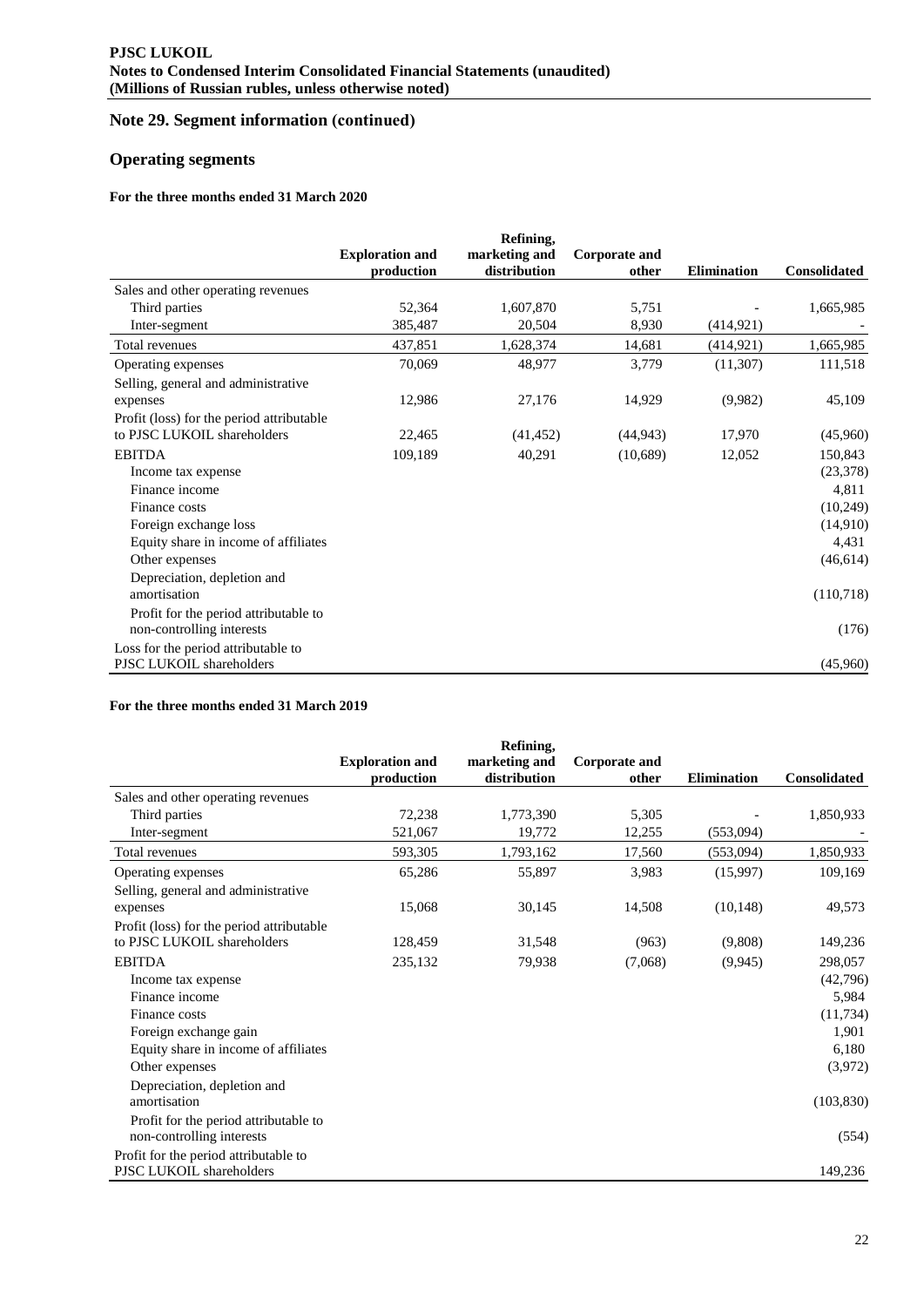# **Note 29. Segment information (сontinued)**

# **Operating segments**

### **For the three months ended 31 March 2020**

|                                                                    | <b>Exploration and</b><br>production | Refining,<br>marketing and<br>distribution | Corporate and<br>other | <b>Elimination</b> | <b>Consolidated</b> |
|--------------------------------------------------------------------|--------------------------------------|--------------------------------------------|------------------------|--------------------|---------------------|
| Sales and other operating revenues                                 |                                      |                                            |                        |                    |                     |
| Third parties                                                      | 52,364                               | 1,607,870                                  | 5,751                  |                    | 1,665,985           |
| Inter-segment                                                      | 385,487                              | 20,504                                     | 8,930                  | (414, 921)         |                     |
| Total revenues                                                     | 437,851                              | 1,628,374                                  | 14,681                 | (414, 921)         | 1,665,985           |
| Operating expenses                                                 | 70,069                               | 48,977                                     | 3,779                  | (11,307)           | 111,518             |
| Selling, general and administrative                                |                                      |                                            |                        |                    |                     |
| expenses                                                           | 12,986                               | 27,176                                     | 14,929                 | (9,982)            | 45,109              |
| Profit (loss) for the period attributable                          |                                      |                                            |                        |                    |                     |
| to PJSC LUKOIL shareholders                                        | 22,465                               | (41, 452)                                  | (44, 943)              | 17,970             | (45,960)            |
| <b>EBITDA</b>                                                      | 109,189                              | 40,291                                     | (10,689)               | 12,052             | 150,843             |
| Income tax expense                                                 |                                      |                                            |                        |                    | (23, 378)           |
| Finance income                                                     |                                      |                                            |                        |                    | 4,811               |
| Finance costs                                                      |                                      |                                            |                        |                    | (10,249)            |
| Foreign exchange loss                                              |                                      |                                            |                        |                    | (14,910)            |
| Equity share in income of affiliates                               |                                      |                                            |                        |                    | 4,431               |
| Other expenses                                                     |                                      |                                            |                        |                    | (46, 614)           |
| Depreciation, depletion and<br>amortisation                        |                                      |                                            |                        |                    | (110,718)           |
| Profit for the period attributable to<br>non-controlling interests |                                      |                                            |                        |                    | (176)               |
| Loss for the period attributable to<br>PJSC LUKOIL shareholders    |                                      |                                            |                        |                    | (45,960)            |

### **For the three months ended 31 March 2019**

|                                           |                                      | Refining,                     |                               |                    |                     |
|-------------------------------------------|--------------------------------------|-------------------------------|-------------------------------|--------------------|---------------------|
|                                           | <b>Exploration and</b><br>production | marketing and<br>distribution | <b>Corporate and</b><br>other | <b>Elimination</b> | <b>Consolidated</b> |
| Sales and other operating revenues        |                                      |                               |                               |                    |                     |
| Third parties                             | 72,238                               | 1,773,390                     | 5,305                         |                    | 1,850,933           |
| Inter-segment                             | 521,067                              | 19,772                        | 12,255                        | (553,094)          |                     |
| Total revenues                            | 593,305                              | 1,793,162                     | 17,560                        | (553,094)          | 1,850,933           |
| Operating expenses                        | 65,286                               | 55,897                        | 3,983                         | (15,997)           | 109,169             |
| Selling, general and administrative       |                                      |                               |                               |                    |                     |
| expenses                                  | 15,068                               | 30,145                        | 14,508                        | (10, 148)          | 49,573              |
| Profit (loss) for the period attributable |                                      |                               |                               |                    |                     |
| to PJSC LUKOIL shareholders               | 128,459                              | 31,548                        | (963)                         | (9,808)            | 149,236             |
| <b>EBITDA</b>                             | 235,132                              | 79,938                        | (7,068)                       | (9, 945)           | 298,057             |
| Income tax expense                        |                                      |                               |                               |                    | (42,796)            |
| Finance income                            |                                      |                               |                               |                    | 5,984               |
| Finance costs                             |                                      |                               |                               |                    | (11, 734)           |
| Foreign exchange gain                     |                                      |                               |                               |                    | 1,901               |
| Equity share in income of affiliates      |                                      |                               |                               |                    | 6,180               |
| Other expenses                            |                                      |                               |                               |                    | (3,972)             |
| Depreciation, depletion and               |                                      |                               |                               |                    |                     |
| amortisation                              |                                      |                               |                               |                    | (103, 830)          |
| Profit for the period attributable to     |                                      |                               |                               |                    |                     |
| non-controlling interests                 |                                      |                               |                               |                    | (554)               |
| Profit for the period attributable to     |                                      |                               |                               |                    |                     |
| PJSC LUKOIL shareholders                  |                                      |                               |                               |                    | 149,236             |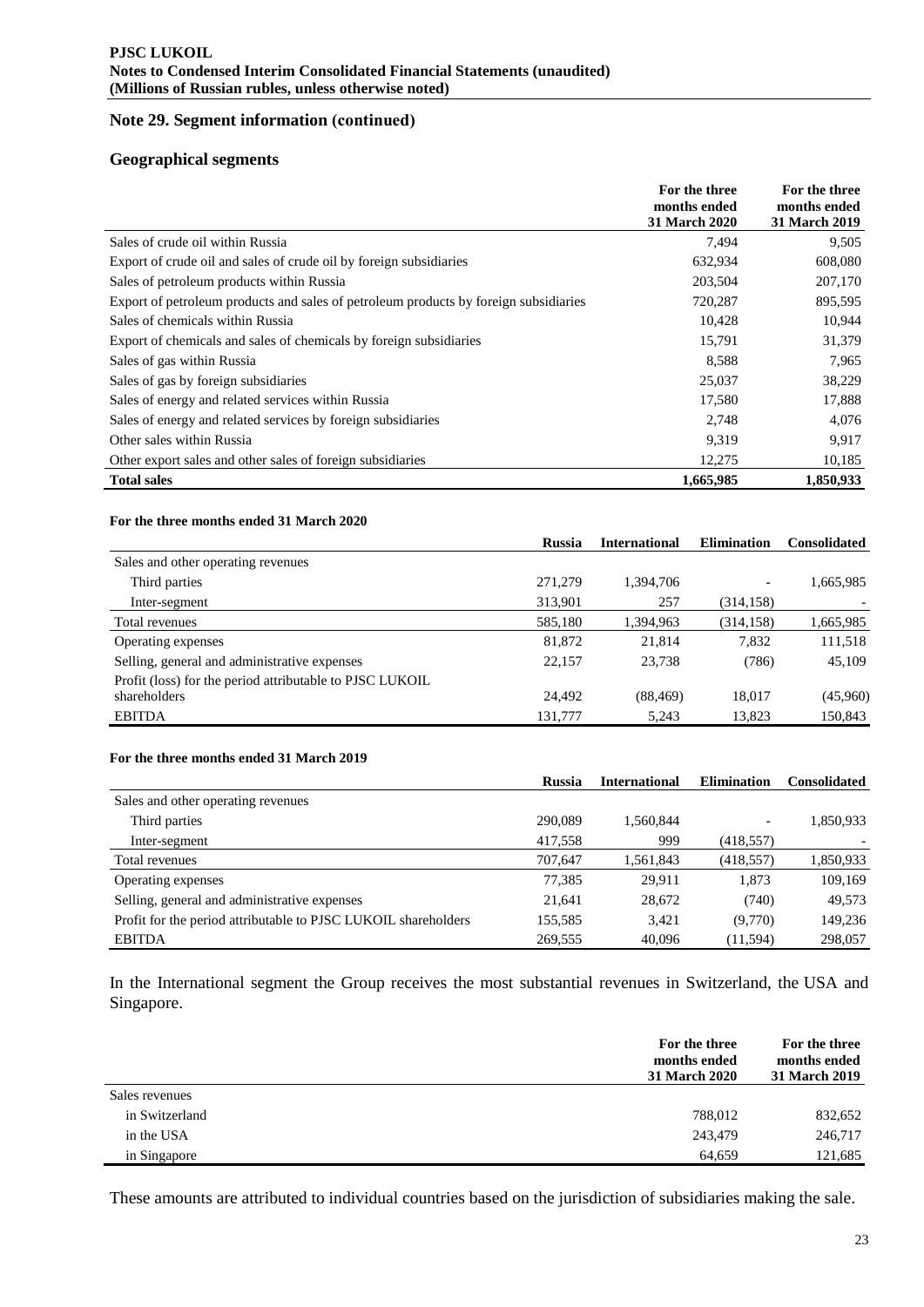# **Note 29. Segment information (сontinued)**

### **Geographical segments**

|                                                                                      | For the three<br>months ended<br>31 March 2020 | For the three<br>months ended<br>31 March 2019 |
|--------------------------------------------------------------------------------------|------------------------------------------------|------------------------------------------------|
| Sales of crude oil within Russia                                                     | 7,494                                          | 9,505                                          |
| Export of crude oil and sales of crude oil by foreign subsidiaries                   | 632,934                                        | 608,080                                        |
| Sales of petroleum products within Russia                                            | 203,504                                        | 207,170                                        |
| Export of petroleum products and sales of petroleum products by foreign subsidiaries | 720,287                                        | 895,595                                        |
| Sales of chemicals within Russia                                                     | 10,428                                         | 10,944                                         |
| Export of chemicals and sales of chemicals by foreign subsidiaries                   | 15,791                                         | 31,379                                         |
| Sales of gas within Russia                                                           | 8,588                                          | 7,965                                          |
| Sales of gas by foreign subsidiaries                                                 | 25,037                                         | 38,229                                         |
| Sales of energy and related services within Russia                                   | 17,580                                         | 17,888                                         |
| Sales of energy and related services by foreign subsidiaries                         | 2,748                                          | 4.076                                          |
| Other sales within Russia                                                            | 9,319                                          | 9.917                                          |
| Other export sales and other sales of foreign subsidiaries                           | 12,275                                         | 10,185                                         |
| <b>Total sales</b>                                                                   | 1,665,985                                      | 1,850,933                                      |

#### **For the three months ended 31 March 2020**

|                                                          | <b>Russia</b> | <b>International</b> | <b>Elimination</b> | <b>Consolidated</b> |
|----------------------------------------------------------|---------------|----------------------|--------------------|---------------------|
| Sales and other operating revenues                       |               |                      |                    |                     |
| Third parties                                            | 271.279       | 1,394,706            |                    | 1,665,985           |
| Inter-segment                                            | 313,901       | 257                  | (314, 158)         |                     |
| Total revenues                                           | 585,180       | 1,394,963            | (314, 158)         | 1,665,985           |
| Operating expenses                                       | 81,872        | 21,814               | 7,832              | 111,518             |
| Selling, general and administrative expenses             | 22.157        | 23,738               | (786)              | 45,109              |
| Profit (loss) for the period attributable to PJSC LUKOIL |               |                      |                    |                     |
| shareholders                                             | 24.492        | (88, 469)            | 18,017             | (45,960)            |
| <b>EBITDA</b>                                            | 131,777       | 5.243                | 13,823             | 150,843             |

#### **For the three months ended 31 March 2019**

|                                                                | <b>Russia</b> | International | <b>Elimination</b> | <b>Consolidated</b> |
|----------------------------------------------------------------|---------------|---------------|--------------------|---------------------|
| Sales and other operating revenues                             |               |               |                    |                     |
| Third parties                                                  | 290,089       | 1,560,844     |                    | 1,850,933           |
| Inter-segment                                                  | 417,558       | 999           | (418, 557)         |                     |
| Total revenues                                                 | 707,647       | 1,561,843     | (418, 557)         | 1,850,933           |
| Operating expenses                                             | 77,385        | 29.911        | 1,873              | 109,169             |
| Selling, general and administrative expenses                   | 21,641        | 28,672        | (740)              | 49,573              |
| Profit for the period attributable to PJSC LUKOIL shareholders | 155,585       | 3,421         | (9,770)            | 149,236             |
| <b>EBITDA</b>                                                  | 269,555       | 40.096        | (11, 594)          | 298,057             |

In the International segment the Group receives the most substantial revenues in Switzerland, the USA and Singapore.

|                | For the three<br>months ended<br>31 March 2020 | For the three<br>months ended<br>31 March 2019 |
|----------------|------------------------------------------------|------------------------------------------------|
| Sales revenues |                                                |                                                |
| in Switzerland | 788,012                                        | 832,652                                        |
| in the USA     | 243,479                                        | 246,717                                        |
| in Singapore   | 64.659                                         | 121.685                                        |

These amounts are attributed to individual countries based on the jurisdiction of subsidiaries making the sale.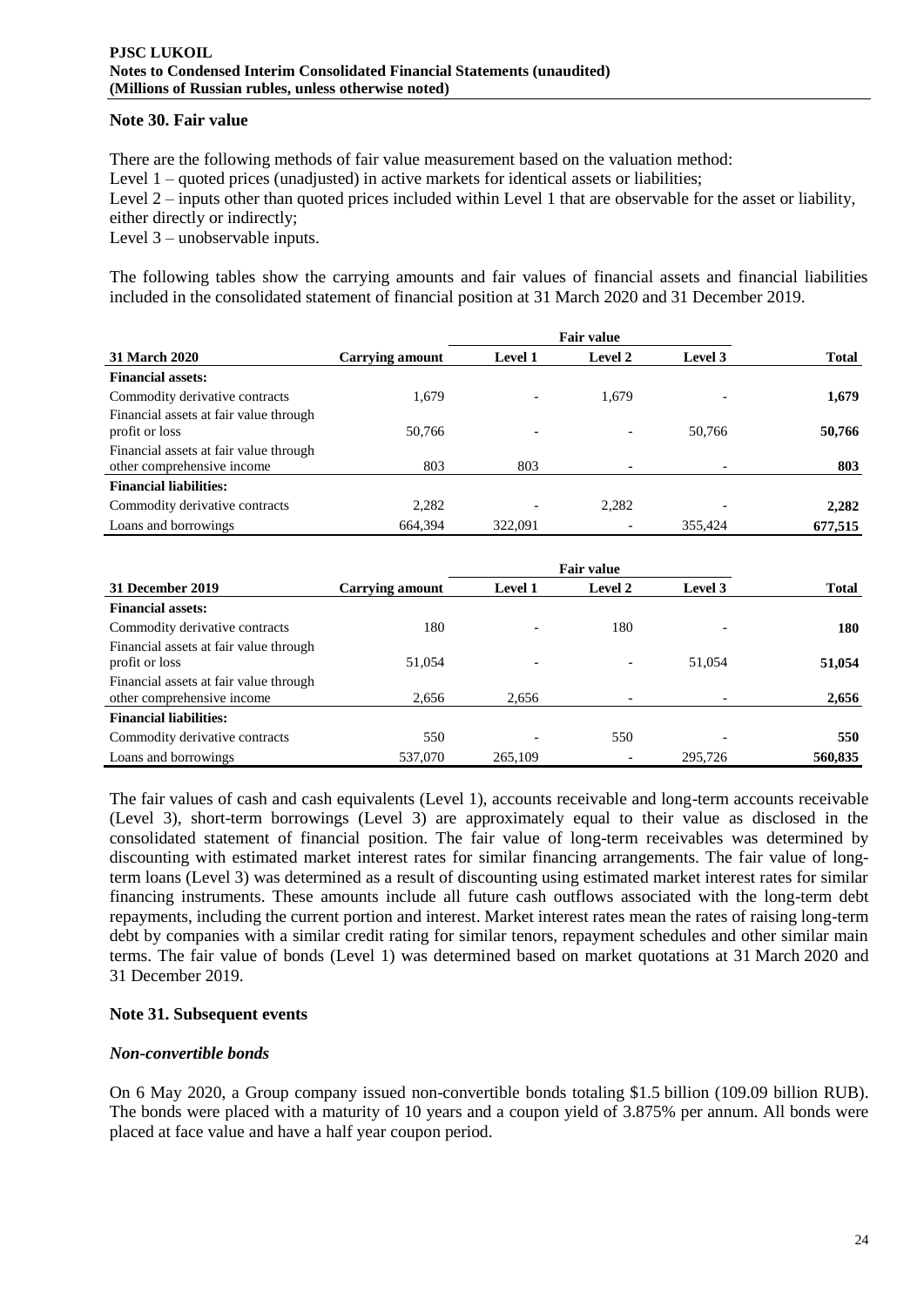### **Note 30. Fair value**

There are the following methods of fair value measurement based on the valuation method: Level 1 – quoted prices (unadjusted) in active markets for identical assets or liabilities; Level 2 – inputs other than quoted prices included within Level 1 that are observable for the asset or liability, either directly or indirectly; Level 3 – unobservable inputs.

The following tables show the carrying amounts and fair values of financial assets and financial liabilities included in the consolidated statement of financial position at 31 March 2020 and 31 December 2019.

|                                                                      | <b>Fair value</b>      |                          |         |         |              |
|----------------------------------------------------------------------|------------------------|--------------------------|---------|---------|--------------|
| 31 March 2020                                                        | <b>Carrying amount</b> | <b>Level 1</b>           | Level 2 | Level 3 | <b>Total</b> |
| <b>Financial assets:</b>                                             |                        |                          |         |         |              |
| Commodity derivative contracts                                       | 1.679                  | $\overline{\phantom{0}}$ | 1,679   |         | 1,679        |
| Financial assets at fair value through<br>profit or loss             | 50,766                 | $\overline{\phantom{0}}$ |         | 50,766  | 50,766       |
| Financial assets at fair value through<br>other comprehensive income | 803                    | 803                      |         |         | 803          |
| <b>Financial liabilities:</b>                                        |                        |                          |         |         |              |
| Commodity derivative contracts                                       | 2,282                  | $\overline{\phantom{a}}$ | 2,282   |         | 2,282        |
| Loans and borrowings                                                 | 664.394                | 322,091                  |         | 355.424 | 677,515      |

|                                                                      |                 |                          | <b>Fair value</b>        |         | <b>Total</b> |
|----------------------------------------------------------------------|-----------------|--------------------------|--------------------------|---------|--------------|
| 31 December 2019                                                     | Carrying amount | <b>Level 1</b>           | <b>Level 2</b>           | Level 3 |              |
| <b>Financial assets:</b>                                             |                 |                          |                          |         |              |
| Commodity derivative contracts                                       | 180             | $\overline{\phantom{0}}$ | 180                      |         | 180          |
| Financial assets at fair value through<br>profit or loss             | 51,054          | $\overline{\phantom{a}}$ | $\overline{\phantom{a}}$ | 51,054  | 51,054       |
| Financial assets at fair value through<br>other comprehensive income | 2,656           | 2,656                    | $\overline{\phantom{a}}$ |         | 2,656        |
| <b>Financial liabilities:</b>                                        |                 |                          |                          |         |              |
| Commodity derivative contracts                                       | 550             | $\overline{\phantom{0}}$ | 550                      |         | 550          |
| Loans and borrowings                                                 | 537,070         | 265,109                  |                          | 295.726 | 560,835      |

The fair values of cash and cash equivalents (Level 1), accounts receivable and long-term accounts receivable (Level 3), short-term borrowings (Level 3) are approximately equal to their value as disclosed in the consolidated statement of financial position. The fair value of long-term receivables was determined by discounting with estimated market interest rates for similar financing arrangements. The fair value of longterm loans (Level 3) was determined as a result of discounting using estimated market interest rates for similar financing instruments. These amounts include all future cash outflows associated with the long-term debt repayments, including the current portion and interest. Market interest rates mean the rates of raising long-term debt by companies with a similar credit rating for similar tenors, repayment schedules and other similar main terms. The fair value of bonds (Level 1) was determined based on market quotations at 31 March 2020 and 31 December 2019.

### **Note 31. Subsequent events**

#### *Non-convertible bonds*

On 6 May 2020, a Group company issued non-convertible bonds totaling \$1.5 billion (109.09 billion RUB). The bonds were placed with a maturity of 10 years and a coupon yield of 3.875% per annum. All bonds were placed at face value and have a half year coupon period.